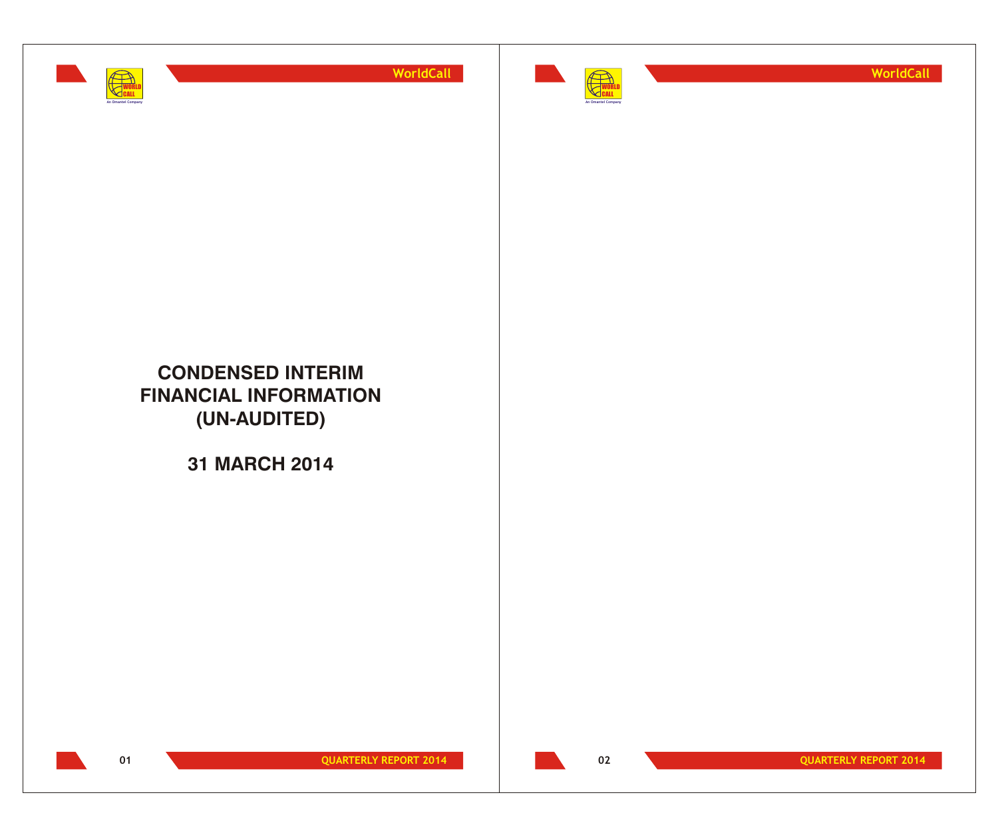



**WorldCall**

## **CONDENSED INTERIM FINANCIAL INFORMATION (UN-AUDITED)**

**31 MARCH 2014**



**01 QUARTERLY REPORT 2014** 

**02 QUARTERLY REPORT 2014**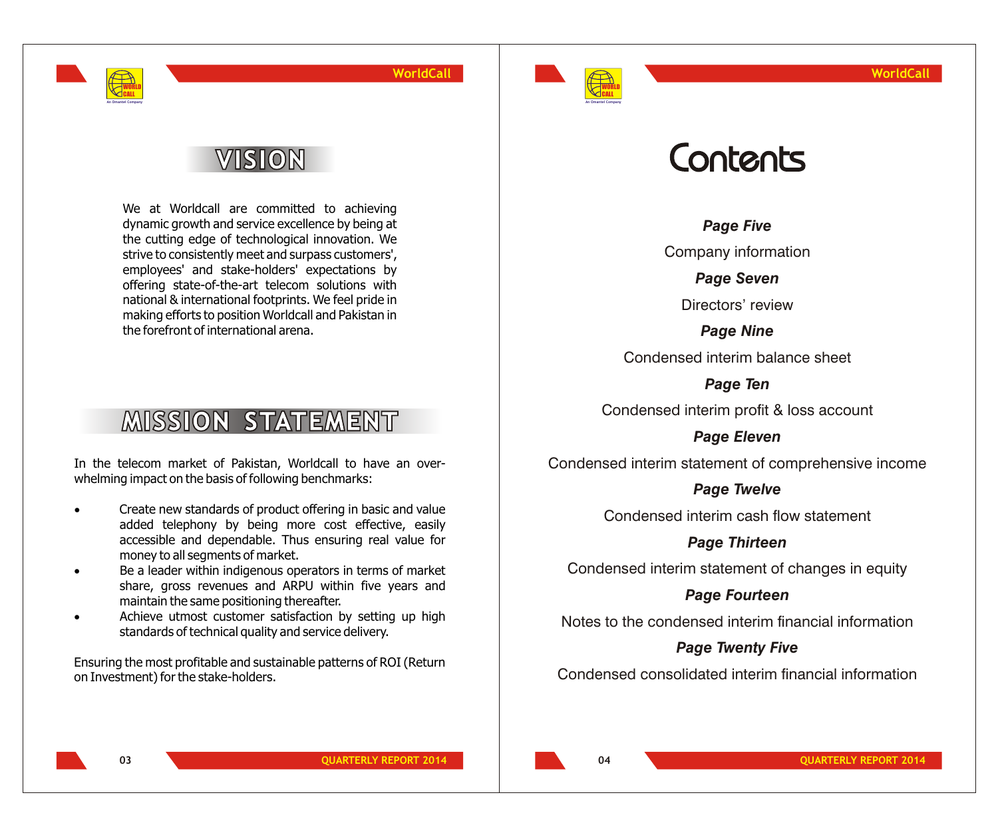

# VISION

WORLD CALL **An Omantel Company**

> We at Worldcall are committed to achieving dynamic growth and service excellence by being at the cutting edge of technological innovation. We strive to consistently meet and surpass customers', employees' and stake-holders' expectations by offering state-of-the-art telecom solutions with national & international footprints. We feel pride in making efforts to position Worldcall and Pakistan in the forefront of international arena.

# **MISSION STATEMENT**

In the telecom market of Pakistan, Worldcall to have an overwhelming impact on the basis of following benchmarks:

- Create new standards of product offering in basic and value added telephony by being more cost effective, easily accessible and dependable. Thus ensuring real value for money to all segments of market.
- Be a leader within indigenous operators in terms of market share, gross revenues and ARPU within five years and maintain the same positioning thereafter.
- Achieve utmost customer satisfaction by setting up high standards of technical quality and service delivery.

Ensuring the most profitable and sustainable patterns of ROI (Return on Investment) for the stake-holders.

# Contents

*Page Five*

Company information

*Page Seven*

Directors' review

*Page Nine* Condensed interim balance sheet

*Page Ten*

Condensed interim profit & loss account

*Page Eleven*

Condensed interim statement of comprehensive income

## *Page Twelve*

Condensed interim cash flow statement

*Page Thirteen*

Condensed interim statement of changes in equity

*Page Fourteen*

Notes to the condensed interim financial information

## *Page Twenty Five*

Condensed consolidated interim financial information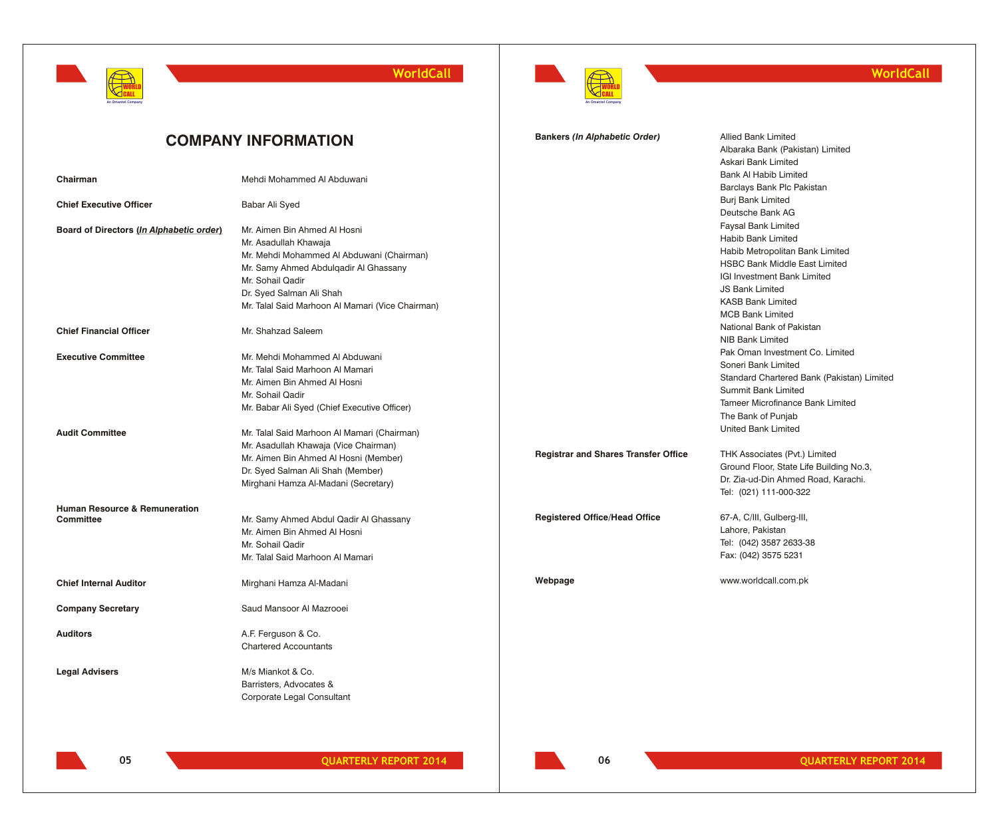

**WorldCall**



## **WorldCall**

|                                                              | <b>COMPANY INFORMATION</b>                                                                                                                                                                                                                      | <b>Bankers (In Alphabetic Order)</b>        | <b>Allied Bank Limited</b><br>Albaraka Bank (Pakistan) Limited<br>Askari Bank Limited                                                                                                                                                              |
|--------------------------------------------------------------|-------------------------------------------------------------------------------------------------------------------------------------------------------------------------------------------------------------------------------------------------|---------------------------------------------|----------------------------------------------------------------------------------------------------------------------------------------------------------------------------------------------------------------------------------------------------|
| Chairman                                                     | Mehdi Mohammed Al Abduwani                                                                                                                                                                                                                      |                                             | <b>Bank AI Habib Limited</b><br>Barclays Bank Plc Pakistan                                                                                                                                                                                         |
| <b>Chief Executive Officer</b>                               | Babar Ali Syed                                                                                                                                                                                                                                  |                                             | <b>Burj Bank Limited</b><br>Deutsche Bank AG                                                                                                                                                                                                       |
| Board of Directors (In Alphabetic order)                     | Mr. Aimen Bin Ahmed Al Hosni<br>Mr. Asadullah Khawaja<br>Mr. Mehdi Mohammed Al Abduwani (Chairman)<br>Mr. Samy Ahmed Abdulqadir Al Ghassany<br>Mr. Sohail Qadir<br>Dr. Syed Salman Ali Shah<br>Mr. Talal Said Marhoon Al Mamari (Vice Chairman) |                                             | <b>Faysal Bank Limited</b><br>Habib Bank Limited<br>Habib Metropolitan Bank Limited<br><b>HSBC Bank Middle East Limited</b><br><b>IGI Investment Bank Limited</b><br><b>JS Bank Limited</b><br><b>KASB Bank Limited</b><br><b>MCB Bank Limited</b> |
| <b>Chief Financial Officer</b>                               | Mr. Shahzad Saleem                                                                                                                                                                                                                              |                                             | National Bank of Pakistan<br>NIB Bank Limited                                                                                                                                                                                                      |
| <b>Executive Committee</b>                                   | Mr. Mehdi Mohammed Al Abduwani<br>Mr. Talal Said Marhoon Al Mamari<br>Mr. Aimen Bin Ahmed Al Hosni<br>Mr. Sohail Qadir<br>Mr. Babar Ali Syed (Chief Executive Officer)                                                                          |                                             | Pak Oman Investment Co. Limited<br>Soneri Bank Limited<br>Standard Chartered Bank (Pakistan) Limited<br><b>Summit Bank Limited</b><br>Tameer Microfinance Bank Limited<br>The Bank of Punjab                                                       |
| <b>Audit Committee</b>                                       | Mr. Talal Said Marhoon Al Mamari (Chairman)<br>Mr. Asadullah Khawaja (Vice Chairman)<br>Mr. Aimen Bin Ahmed Al Hosni (Member)<br>Dr. Syed Salman Ali Shah (Member)<br>Mirghani Hamza Al-Madani (Secretary)                                      | <b>Registrar and Shares Transfer Office</b> | United Bank Limited<br>THK Associates (Pvt.) Limited<br>Ground Floor, State Life Building No.3,<br>Dr. Zia-ud-Din Ahmed Road, Karachi.<br>Tel: (021) 111-000-322                                                                                   |
| <b>Human Resource &amp; Remuneration</b><br><b>Committee</b> | Mr. Samy Ahmed Abdul Qadir Al Ghassany<br>Mr. Aimen Bin Ahmed Al Hosni<br>Mr. Sohail Qadir<br>Mr. Talal Said Marhoon Al Mamari                                                                                                                  | <b>Registered Office/Head Office</b>        | 67-A, C/III, Gulberg-III,<br>Lahore, Pakistan<br>Tel: (042) 3587 2633-38<br>Fax: (042) 3575 5231                                                                                                                                                   |
| <b>Chief Internal Auditor</b>                                | Mirghani Hamza Al-Madani                                                                                                                                                                                                                        | Webpage                                     | www.worldcall.com.pk                                                                                                                                                                                                                               |
| <b>Company Secretary</b>                                     | Saud Mansoor Al Mazrooei                                                                                                                                                                                                                        |                                             |                                                                                                                                                                                                                                                    |
| <b>Auditors</b>                                              | A.F. Ferguson & Co.<br><b>Chartered Accountants</b>                                                                                                                                                                                             |                                             |                                                                                                                                                                                                                                                    |
| <b>Legal Advisers</b>                                        | M/s Miankot & Co.<br>Barristers, Advocates &<br>Corporate Legal Consultant                                                                                                                                                                      |                                             |                                                                                                                                                                                                                                                    |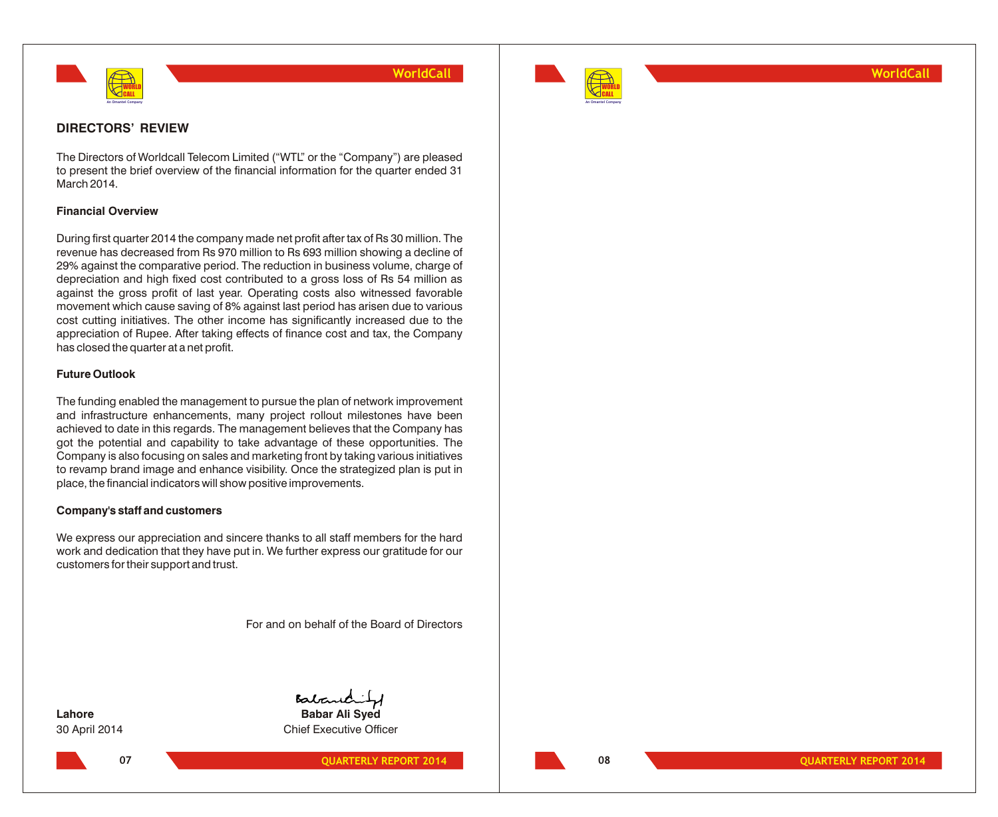



## **WorldCall**

## **DIRECTORS' REVIEW**

The Directors of Worldcall Telecom Limited ("WTL" or the "Company") are pleased to present the brief overview of the financial information for the quarter ended 31 March 2014.

## **Financial Overview**

During first quarter 2014 the company made net profit after tax of Rs 30 million. The revenue has decreased from Rs 970 million to Rs 693 million showing a decline of 29% against the comparative period. The reduction in business volume, charge of depreciation and high fixed cost contributed to a gross loss of Rs 54 million as against the gross profit of last year. Operating costs also witnessed favorable movement which cause saving of 8% against last period has arisen due to various cost cutting initiatives. The other income has significantly increased due to the appreciation of Rupee. After taking effects of finance cost and tax, the Company has closed the quarter at a net profit.

## **Future Outlook**

The funding enabled the management to pursue the plan of network improvement and infrastructure enhancements, many project rollout milestones have been achieved to date in this regards. The management believes that the Company has got the potential and capability to take advantage of these opportunities. The Company is also focusing on sales and marketing front by taking various initiatives to revamp brand image and enhance visibility. Once the strategized plan is put in place, the financial indicators will show positive improvements.

## **Company's staff and customers**

We express our appreciation and sincere thanks to all staff members for the hard work and dedication that they have put in. We further express our gratitude for our customers for their support and trust.

For and on behalf of the Board of Directors

**07**

Babaric **Lahore Babar Ali Syed**

30 April 2014 Chief Executive Officer

**QUARTERLY REPORT 2014 12.14 12.14 12.14 12.14 12.14 12.14 12.14 12.14 12.14 12.14 12.14 12.14 12.14 12.14 12.14 12.14 12.14 12.14 12.14 12.14 12.14 12.14 12.14 12.14 12.14**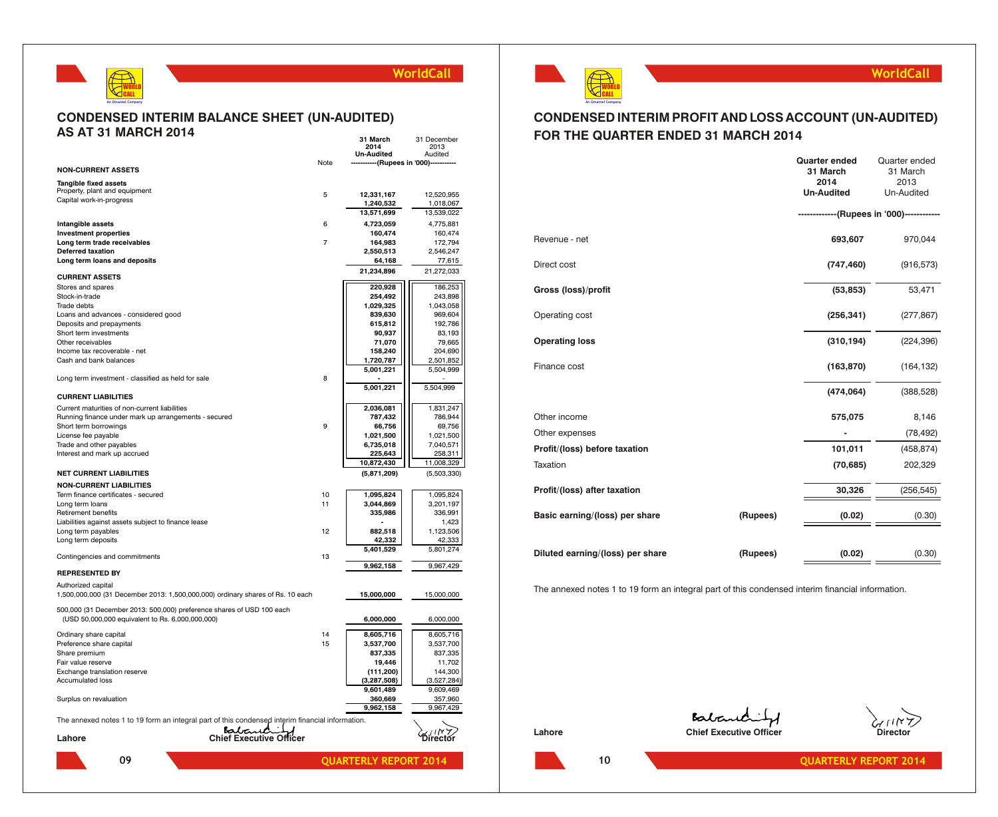

#### **CONDENSED INTERIM BALANCE SHEET (UN-AUDITED) AS AT 31 MARCH 2014 31 March** 31 December

|                                                                                                  |                         |                | 2014                         | 2013                   |
|--------------------------------------------------------------------------------------------------|-------------------------|----------------|------------------------------|------------------------|
|                                                                                                  |                         |                | <b>Un-Audited</b>            | Audited                |
| <b>NON-CURRENT ASSETS</b>                                                                        |                         | Note           | -------(Rupees in '000)--    |                        |
| Tangible fixed assets                                                                            |                         |                |                              |                        |
| Property, plant and equipment                                                                    |                         | 5              | 12,331,167                   | 12,520,955             |
| Capital work-in-progress                                                                         |                         |                | 1,240,532                    | 1,018,067              |
|                                                                                                  |                         |                | 13,571,699                   | 13,539,022             |
| Intangible assets                                                                                |                         | 6              | 4,723,059                    | 4,775,881              |
| <b>Investment properties</b>                                                                     |                         |                | 160,474                      | 160,474                |
| Long term trade receivables                                                                      |                         | $\overline{7}$ | 164,983                      | 172,794                |
| <b>Deferred taxation</b>                                                                         |                         |                | 2,550,513                    | 2,546,247              |
| Long term loans and deposits                                                                     |                         |                | 64,168                       | 77,615                 |
|                                                                                                  |                         |                | 21,234,896                   | 21,272,033             |
| <b>CURRENT ASSETS</b>                                                                            |                         |                |                              |                        |
| Stores and spares                                                                                |                         |                | 220,928                      | 186,253                |
| Stock-in-trade<br>Trade debts                                                                    |                         |                | 254,492<br>1,029,325         | 243,898<br>1,043,058   |
| Loans and advances - considered good                                                             |                         |                | 839,630                      | 969,604                |
| Deposits and prepayments                                                                         |                         |                | 615,812                      | 192,786                |
| Short term investments                                                                           |                         |                | 90,937                       | 83,193                 |
| Other receivables                                                                                |                         |                | 71,070                       | 79,665                 |
| Income tax recoverable - net                                                                     |                         |                | 158,240                      | 204,690                |
| Cash and bank balances                                                                           |                         |                | 1,720,787                    | 2,501,852              |
|                                                                                                  |                         |                | 5,001,221                    | 5,504,999              |
| Long term investment - classified as held for sale                                               |                         | 8              |                              |                        |
| <b>CURRENT LIABILITIES</b>                                                                       |                         |                | 5,001,221                    | 5,504,999              |
|                                                                                                  |                         |                |                              |                        |
| Current maturities of non-current liabilities                                                    |                         |                | 2,036,081                    | 1,831,247              |
| Running finance under mark up arrangements - secured                                             |                         | 9              | 787,432                      | 786,944                |
| Short term borrowings<br>License fee payable                                                     |                         |                | 66,756<br>1,021,500          | 69,756<br>1,021,500    |
| Trade and other payables                                                                         |                         |                | 6,735,018                    | 7,040,571              |
| Interest and mark up accrued                                                                     |                         |                | 225,643                      | 258,311                |
|                                                                                                  |                         |                | 10,872,430                   | 11,008,329             |
| <b>NET CURRENT LIABILITIES</b>                                                                   |                         |                | (5,871,209)                  | (5,503,330)            |
| <b>NON-CURRENT LIABILITIES</b>                                                                   |                         |                |                              |                        |
| Term finance certificates - secured                                                              |                         | 10             | 1,095,824                    | 1,095,824              |
| Long term loans                                                                                  |                         | 11             | 3,044,869                    | 3,201,197              |
| Retirement benefits                                                                              |                         |                | 335,986                      | 336,991                |
| Liabilities against assets subject to finance lease                                              |                         |                |                              | 1,423                  |
| Long term payables                                                                               |                         | 12             | 882,518                      | 1,123,506              |
| Long term deposits                                                                               |                         |                | 42,332                       | 42,333                 |
|                                                                                                  |                         |                | 5,401,529                    | 5,801,274              |
| Contingencies and commitments                                                                    |                         | 13             | 9,962,158                    | 9,967,429              |
| <b>REPRESENTED BY</b>                                                                            |                         |                |                              |                        |
| Authorized capital                                                                               |                         |                |                              |                        |
| 1,500,000,000 (31 December 2013: 1,500,000,000) ordinary shares of Rs. 10 each                   |                         |                | 15,000,000                   | 15,000,000             |
| 500,000 (31 December 2013: 500,000) preference shares of USD 100 each                            |                         |                |                              |                        |
| (USD 50,000,000 equivalent to Rs. 6,000,000,000)                                                 |                         |                | 6,000,000                    | 6,000,000              |
|                                                                                                  |                         | 14             |                              |                        |
| Ordinary share capital<br>Preference share capital                                               |                         | 15             | 8,605,716<br>3,537,700       | 8,605,716<br>3,537,700 |
| Share premium                                                                                    |                         |                | 837,335                      | 837,335                |
| Fair value reserve                                                                               |                         |                | 19,446                       | 11,702                 |
| Exchange translation reserve                                                                     |                         |                | (111, 200)                   | 144,300                |
| <b>Accumulated loss</b>                                                                          |                         |                | (3, 287, 508)                | (3,527,284)            |
|                                                                                                  |                         |                | 9,601,489                    | 9,609,469              |
| Surplus on revaluation                                                                           |                         |                | 360,669                      | 357,960                |
|                                                                                                  |                         |                | 9,962,158                    | 9,967,429              |
| The annexed notes 1 to 19 form an integral part of this condensed interim financial information. |                         |                |                              |                        |
|                                                                                                  | Batanc                  |                |                              |                        |
| Lahore                                                                                           | Chief Executive Officer |                |                              |                        |
| 09                                                                                               |                         |                | <b>QUARTERLY REPORT 2014</b> |                        |
|                                                                                                  |                         |                |                              |                        |



## **WorldCall**

## **CONDENSED INTERIM PROFIT AND LOSS ACCOUNT (UN-AUDITED) FOR THE QUARTER ENDED 31 MARCH 2014**

|                                  |          | <b>Quarter ended</b><br>31 March<br>2014 | Quarter ended<br>31 March<br>2013      |
|----------------------------------|----------|------------------------------------------|----------------------------------------|
|                                  |          | <b>Un-Audited</b>                        | Un-Audited                             |
|                                  |          |                                          | ----------(Rupees in '000)------------ |
| Revenue - net                    |          | 693,607                                  | 970,044                                |
| Direct cost                      |          | (747, 460)                               | (916, 573)                             |
| Gross (loss)/profit              |          | (53, 853)                                | 53,471                                 |
| Operating cost                   |          | (256, 341)                               | (277, 867)                             |
| <b>Operating loss</b>            |          | (310, 194)                               | (224, 396)                             |
| Finance cost                     |          | (163, 870)                               | (164, 132)                             |
|                                  |          | (474, 064)                               | (388, 528)                             |
| Other income                     |          | 575,075                                  | 8,146                                  |
| Other expenses                   |          |                                          | (78, 492)                              |
| Profit/(loss) before taxation    |          | 101,011                                  | (458, 874)                             |
| Taxation                         |          | (70, 685)                                | 202,329                                |
| Profit/(loss) after taxation     |          | 30,326                                   | (256, 545)                             |
| Basic earning/(loss) per share   | (Rupees) | (0.02)                                   | (0.30)                                 |
|                                  |          |                                          |                                        |
| Diluted earning/(loss) per share | (Rupees) | (0.02)                                   | (0.30)                                 |

The annexed notes 1 to 19 form an integral part of this condensed interim financial information.

Balanchity **Lahore Chief Executive Officer Chief Executive Officer Director** 



**10**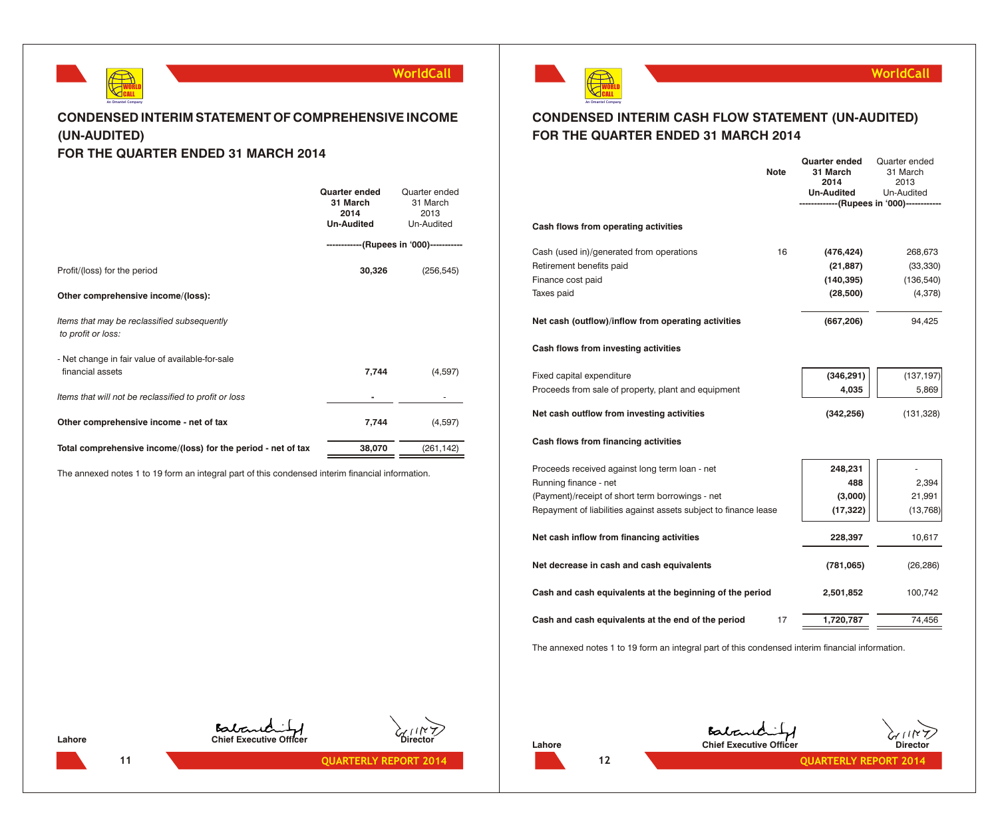

## **CONDENSED INTERIM STATEMENT OF COMPREHENSIVE INCOME (UN-AUDITED) FOR THE QUARTER ENDED 31 MARCH 2014**

|                                                                      | <b>Quarter ended</b><br>31 March<br>2014<br><b>Un-Audited</b> | Quarter ended<br>31 March<br>2013<br>Un-Audited |
|----------------------------------------------------------------------|---------------------------------------------------------------|-------------------------------------------------|
|                                                                      | ------------(Rupees in '000)-----------                       |                                                 |
| Profit/(loss) for the period                                         | 30,326                                                        | (256, 545)                                      |
| Other comprehensive income/(loss):                                   |                                                               |                                                 |
| Items that may be reclassified subsequently<br>to profit or loss:    |                                                               |                                                 |
| - Net change in fair value of available-for-sale<br>financial assets | 7,744                                                         | (4,597)                                         |
| Items that will not be reclassified to profit or loss                |                                                               |                                                 |
| Other comprehensive income - net of tax                              | 7,744                                                         | (4,597)                                         |
| Total comprehensive income/(loss) for the period - net of tax        | 38,070                                                        | (261, 142)                                      |

The annexed notes 1 to 19 form an integral part of this condensed interim financial information.



## **WorldCall**

## **CONDENSED INTERIM CASH FLOW STATEMENT (UN-AUDITED) FOR THE QUARTER ENDED 31 MARCH 2014**

|                                                                  | <b>Note</b> | <b>Quarter ended</b><br>31 March<br>2014<br><b>Un-Audited</b><br>-----------(Rupees in '000)-------- | Quarter ended<br>31 March<br>2013<br>Un-Audited |
|------------------------------------------------------------------|-------------|------------------------------------------------------------------------------------------------------|-------------------------------------------------|
| Cash flows from operating activities                             |             |                                                                                                      |                                                 |
| Cash (used in)/generated from operations                         | 16          | (476, 424)                                                                                           | 268,673                                         |
| Retirement benefits paid                                         |             | (21, 887)                                                                                            | (33, 330)                                       |
| Finance cost paid                                                |             | (140, 395)                                                                                           | (136, 540)                                      |
| Taxes paid                                                       |             | (28, 500)                                                                                            | (4,378)                                         |
| Net cash (outflow)/inflow from operating activities              |             | (667, 206)                                                                                           | 94,425                                          |
| Cash flows from investing activities                             |             |                                                                                                      |                                                 |
| Fixed capital expenditure                                        |             | (346, 291)                                                                                           | (137, 197)                                      |
| Proceeds from sale of property, plant and equipment              |             | 4,035                                                                                                | 5,869                                           |
| Net cash outflow from investing activities                       |             | (342, 256)                                                                                           | (131, 328)                                      |
| Cash flows from financing activities                             |             |                                                                                                      |                                                 |
| Proceeds received against long term loan - net                   |             | 248,231                                                                                              |                                                 |
| Running finance - net                                            |             | 488                                                                                                  | 2,394                                           |
| (Payment)/receipt of short term borrowings - net                 |             | (3,000)                                                                                              | 21,991                                          |
| Repayment of liabilities against assets subject to finance lease |             | (17, 322)                                                                                            | (13, 768)                                       |
| Net cash inflow from financing activities                        |             | 228,397                                                                                              | 10,617                                          |
| Net decrease in cash and cash equivalents                        |             | (781,065)                                                                                            | (26, 286)                                       |
| Cash and cash equivalents at the beginning of the period         |             | 2,501,852                                                                                            | 100,742                                         |
| Cash and cash equivalents at the end of the period               | 17          | 1,720,787                                                                                            | 74,456                                          |
|                                                                  |             |                                                                                                      |                                                 |

The annexed notes 1 to 19 form an integral part of this condensed interim financial information.

**Lahore Chief Executive Officer**<br>Chief Executive Officer





**Chief Executive Officer** Chief Executive Officer Director



**12**

**11 QUARTERLY REPORT 2014 CUARTERLY REPORT 2014 12 12 QUARTERLY REPORT 2014**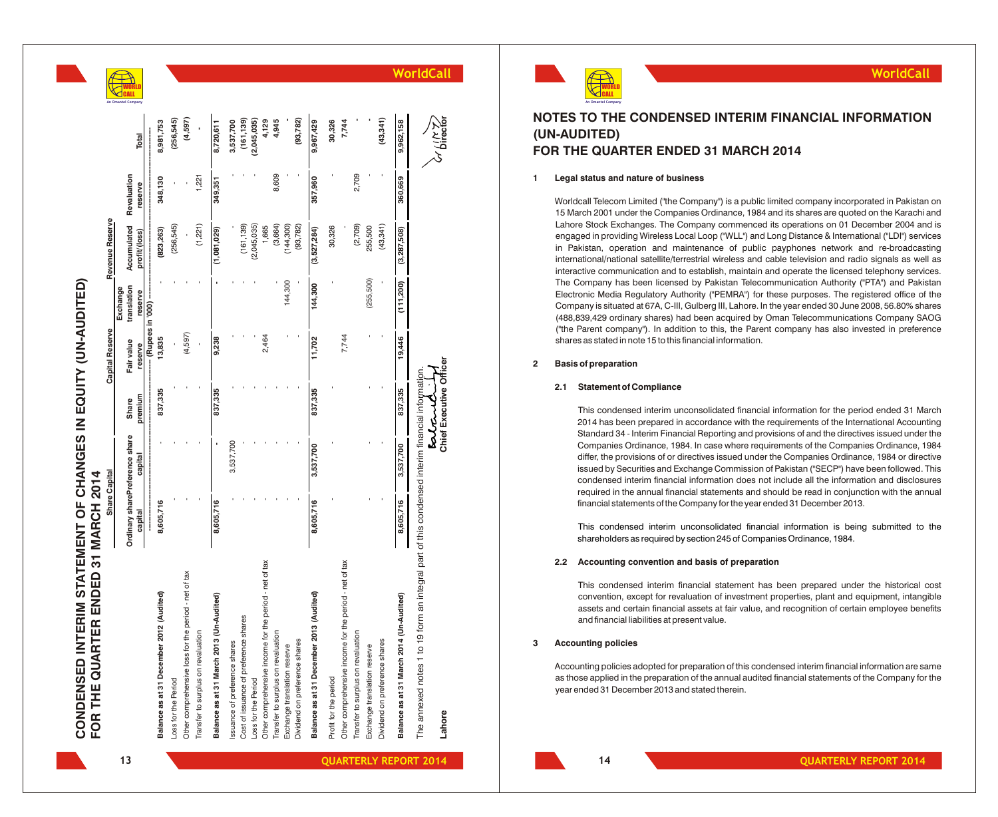



## **NOTES TO THE CONDENSED INTERIM FINANCIAL INFORMATION (UN-AUDITED) FOR THE QUARTER ENDED 31 MARCH 2014**

## **1 Legal status and nature of business**

Worldcall Telecom Limited ("the Company") is a public limited company incorporated in Pakistan on 15 March 2001 under the Companies Ordinance, 1984 and its shares are quoted on the Karachi and Lahore Stock Exchanges. The Company commenced its operations on 01 December 2004 and is engaged in providing Wireless Local Loop ("WLL") and Long Distance & International ("LDI") services in Pakistan, operation and maintenance of public payphones network and re-broadcasting international/national satellite/terrestrial wireless and cable television and radio signals as well as interactive communication and to establish, maintain and operate the licensed telephony services. The Company has been licensed by Pakistan Telecommunication Authority ("PTA") and Pakistan Electronic Media Regulatory Authority ("PEMRA") for these purposes. The registered office of the Company is situated at 67A, C-III, Gulberg III, Lahore. In the year ended 30 June 2008, 56.80% shares (488,839,429 ordinary shares) had been acquired by Oman Telecommunications Company SAOG ("the Parent company"). In addition to this, the Parent company has also invested in preference shares as stated in note 15 to this financial information.

#### **2 Basis of preparation**

## **2.1 Statement of Compliance**

This condensed interim unconsolidated financial information for the period ended 31 March 2014 has been prepared in accordance with the requirements of the International Accounting Standard 34 - Interim Financial Reporting and provisions of and the directives issued under the Companies Ordinance, 1984. In case where requirements of the Companies Ordinance, 1984 differ, the provisions of or directives issued under the Companies Ordinance, 1984 or directive issued by Securities and Exchange Commission of Pakistan ("SECP") have been followed. This condensed interim financial information does not include all the information and disclosures required in the annual financial statements and should be read in conjunction with the annual financial statements of the Company for the year ended 31 December 2013.

This condensed interim unconsolidated financial information is being submitted to the shareholders as required by section 245 of Companies Ordinance, 1984.

#### **2.2 Accounting convention and basis of preparation**

This condensed interim financial statement has been prepared under the historical cost convention, except for revaluation of investment properties, plant and equipment, intangible assets and certain financial assets at fair value, and recognition of certain employee benefits and financial liabilities at present value.

#### **3 Accounting policies**

Accounting policies adopted for preparation of this condensed interim financial information are same as those applied in the preparation of the annual audited financial statements of the Company for the year ended 31 December 2013 and stated therein.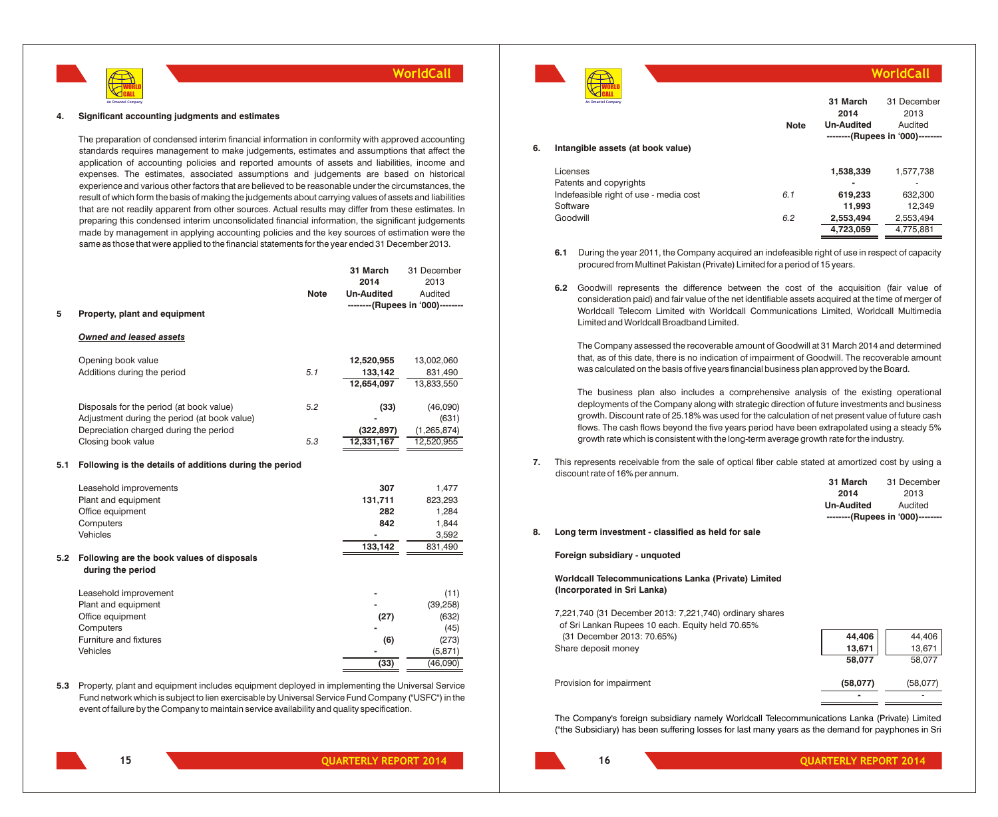

#### **4. Significant accounting judgments and estimates**

The preparation of condensed interim financial information in conformity with approved accounting standards requires management to make judgements, estimates and assumptions that affect the application of accounting policies and reported amounts of assets and liabilities, income and expenses. The estimates, associated assumptions and judgements are based on historical experience and various other factors that are believed to be reasonable under the circumstances, the result of which form the basis of making the judgements about carrying values of assets and liabilities that are not readily apparent from other sources. Actual results may differ from these estimates. In preparing this condensed interim unconsolidated financial information, the significant judgements made by management in applying accounting policies and the key sources of estimation were the same as those that were applied to the financial statements for the year ended 31 December 2013.

|     |                                                         |             | 31 March          | 31 December                      |
|-----|---------------------------------------------------------|-------------|-------------------|----------------------------------|
|     |                                                         |             | 2014              | 2013                             |
|     |                                                         | <b>Note</b> | <b>Un-Audited</b> | Audited                          |
| 5   | Property, plant and equipment                           |             |                   | --------(Rupees in '000)-------- |
|     | <b>Owned and leased assets</b>                          |             |                   |                                  |
|     |                                                         |             |                   |                                  |
|     | Opening book value                                      |             | 12,520,955        | 13,002,060                       |
|     | Additions during the period                             | 5.1         | 133,142           | 831,490                          |
|     |                                                         |             | 12,654,097        | 13,833,550                       |
|     | Disposals for the period (at book value)                | 5.2         | (33)              | (46,090)                         |
|     | Adjustment during the period (at book value)            |             |                   | (631)                            |
|     | Depreciation charged during the period                  |             | (322, 897)        | (1, 265, 874)                    |
|     | Closing book value                                      | 5.3         | 12,331,167        | 12,520,955                       |
| 5.1 | Following is the details of additions during the period |             |                   |                                  |
|     | Leasehold improvements                                  |             | 307               | 1,477                            |
|     | Plant and equipment                                     |             | 131,711           | 823,293                          |
|     | Office equipment                                        |             | 282               | 1,284                            |
|     | Computers                                               |             | 842               | 1,844                            |
|     | Vehicles                                                |             |                   | 3,592                            |
|     |                                                         |             | 133,142           | 831,490                          |
| 5.2 | Following are the book values of disposals              |             |                   |                                  |
|     | during the period                                       |             |                   |                                  |
|     | Leasehold improvement                                   |             |                   | (11)                             |
|     | Plant and equipment                                     |             |                   | (39, 258)                        |
|     | Office equipment                                        |             | (27)              | (632)                            |
|     | Computers                                               |             |                   | (45)                             |
|     | Furniture and fixtures                                  |             | (6)               | (273)                            |
|     | Vehicles                                                |             |                   | (5,871)                          |
|     |                                                         |             | (33)              | (46,090)                         |
|     |                                                         |             |                   |                                  |

**5.3** Property, plant and equipment includes equipment deployed in implementing the Universal Service Fund network which is subject to lien exercisable by Universal Service Fund Company ("USFC") in the event of failure by the Company to maintain service availability and quality specification.



#### **6. Intangible assets (at book value)** Licenses **1,538,339** 1,577,738 Patents and copyrights<br>
Indefeasible right of use - media cost<br> **- 6.1 619.233 632.300** Indefeasible right of use - media cost 6.1 Software **11,993** 12,349 **An Omantel Company 31 March 2014 Un-Audited** 31 December 2013 Audited **--------(Rupees in '000)-------- Note**

**6.1** During the year 2011, the Company acquired an indefeasible right of use in respect of capacity procured from Multinet Pakistan (Private) Limited for a period of 15 years.

Goodwill *6.2* **2,553,494** 2,553,494

**6.2** Goodwill represents the difference between the cost of the acquisition (fair value of consideration paid) and fair value of the net identifiable assets acquired at the time of merger of Worldcall Telecom Limited with Worldcall Communications Limited, Worldcall Multimedia Limited and Worldcall Broadband Limited.

The Company assessed the recoverable amount of Goodwill at 31 March 2014 and determined that, as of this date, there is no indication of impairment of Goodwill. The recoverable amount was calculated on the basis of five years financial business plan approved by the Board.

The business plan also includes a comprehensive analysis of the existing operational deployments of the Company along with strategic direction of future investments and business growth. Discount rate of 25.18% was used for the calculation of net present value of future cash flows. The cash flows beyond the five years period have been extrapolated using a steady 5% growth rate which is consistent with the long-term average growth rate for the industry.

**7.** This represents receivable from the sale of optical fiber cable stated at amortized cost by using a discount rate of 16% per annum.

|    |                                                    | 31 March   | 31 December                      |
|----|----------------------------------------------------|------------|----------------------------------|
|    |                                                    | 2014       | 2013                             |
|    |                                                    | Un-Audited | Audited                          |
|    |                                                    |            | --------(Rupees in '000)-------- |
| 8. | Long term investment - classified as held for sale |            |                                  |

#### **Foreign subsidiary - unquoted**

**Worldcall Telecommunications Lanka (Private) Limited (Incorporated in Sri Lanka)**

7,221,740 (31 December 2013: 7,221,740) ordinary shares of Sri Lankan Rupees 10 each. Equity held 70.65% (31 December 2013: 70.65%) **44,406** 44,406 Share deposit money **13,671** 13,671

Provision for impairment **(58,077)** (58,077)

**16**

The Company's foreign subsidiary namely Worldcall Telecommunications Lanka (Private) Limited ("the Subsidiary) has been suffering losses for last many years as the demand for payphones in Sri

**15**

**58,077** 58,077

**-** -

**4,723,059** 4,775,881

**WorldCall**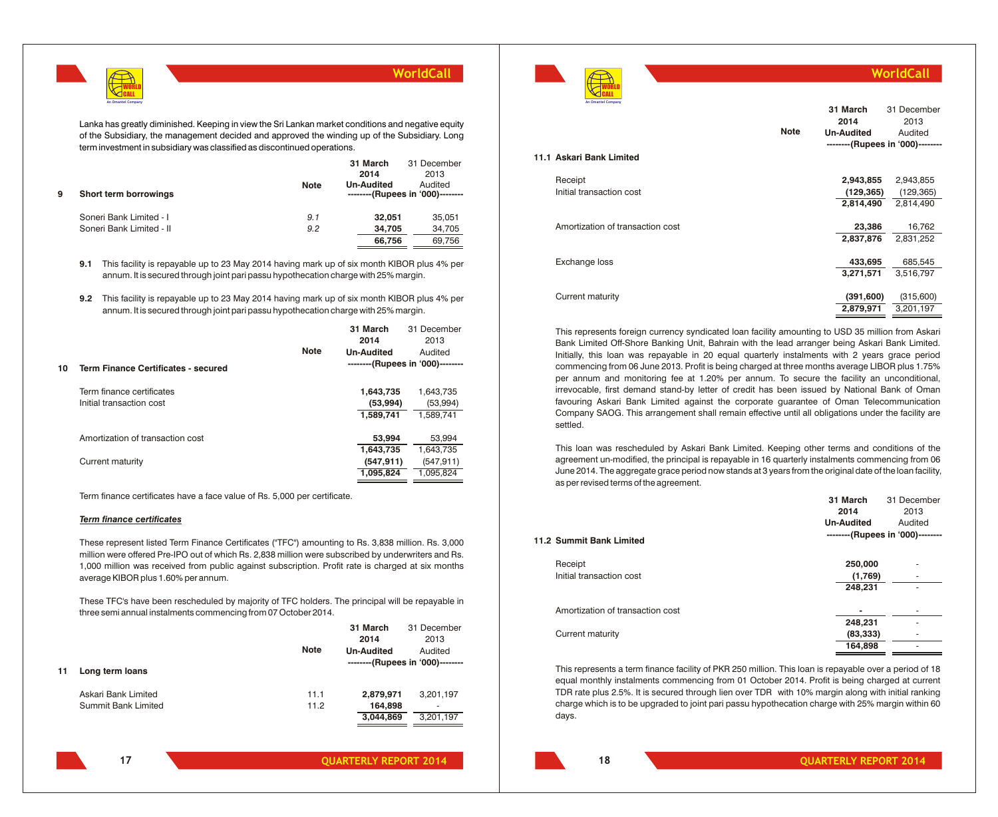

Lanka has greatly diminished. Keeping in view the Sri Lankan market conditions and negative equity of the Subsidiary, the management decided and approved the winding up of the Subsidiary. Long term investment in subsidiary was classified as discontinued operations.

| 9 | Short term borrowings    | <b>Note</b> | 31 March<br>2014<br><b>Un-Audited</b><br>--------(Rupees in '000)-------- | 31 December<br>2013<br>Audited |
|---|--------------------------|-------------|---------------------------------------------------------------------------|--------------------------------|
|   | Soneri Bank Limited - I  | 9.1         | 32.051                                                                    | 35,051                         |
|   | Soneri Bank Limited - II | 9.2         | 34.705                                                                    | 34,705                         |
|   |                          |             | 66,756                                                                    | 69,756                         |

**9.1** This facility is repayable up to 23 May 2014 having mark up of six month KIBOR plus 4% per annum. It is secured through joint pari passu hypothecation charge with 25% margin.

**9.2** This facility is repayable up to 23 May 2014 having mark up of six month KIBOR plus 4% per annum. It is secured through joint pari passu hypothecation charge with 25% margin.

|    |                                            |             | 31 March<br>2014  | 31 December<br>2013              |
|----|--------------------------------------------|-------------|-------------------|----------------------------------|
|    |                                            | <b>Note</b> | <b>Un-Audited</b> | Audited                          |
| 10 | <b>Term Finance Certificates - secured</b> |             |                   | --------(Rupees in '000)-------- |
|    | Term finance certificates                  |             | 1,643,735         | 1,643,735                        |
|    | Initial transaction cost                   |             | (53,994)          | (53,994)                         |
|    |                                            |             | 1.589.741         | 1.589.741                        |
|    | Amortization of transaction cost           |             | 53,994            | 53,994                           |
|    |                                            |             | 1,643,735         | 1,643,735                        |
|    | Current maturity                           |             | (547, 911)        | (547, 911)                       |
|    |                                            |             | 1,095,824         | 1,095,824                        |
|    |                                            |             |                   |                                  |

Term finance certificates have a face value of Rs. 5,000 per certificate.

#### *Term finance certificates*

These represent listed Term Finance Certificates ("TFC") amounting to Rs. 3,838 million. Rs. 3,000 million were offered Pre-IPO out of which Rs. 2,838 million were subscribed by underwriters and Rs. 1,000 million was received from public against subscription. Profit rate is charged at six months average KIBOR plus 1.60% per annum.

These TFC's have been rescheduled by majority of TFC holders. The principal will be repayable in three semi annual instalments commencing from 07 October 2014.

|                     |             |           | 31 December                                           |
|---------------------|-------------|-----------|-------------------------------------------------------|
|                     |             | 2014      | 2013                                                  |
|                     | <b>Note</b> |           | Audited                                               |
| Long term loans     |             |           | --------(Rupees in '000)--------                      |
| Askari Bank Limited | 11.1        | 2,879,971 | 3,201,197                                             |
| Summit Bank Limited | 11.2        |           | ۰                                                     |
|                     |             |           | 3,201,197                                             |
|                     |             |           |                                                       |
|                     |             |           | 31 March<br><b>Un-Audited</b><br>164,898<br>3,044,869 |



## **WorldCall**

|                                  |             | 31 March<br>2014  | 31 December<br>2013              |
|----------------------------------|-------------|-------------------|----------------------------------|
|                                  | <b>Note</b> | <b>Un-Audited</b> | Audited                          |
|                                  |             |                   | --------(Rupees in '000)-------- |
| 11.1 Askari Bank Limited         |             |                   |                                  |
| Receipt                          |             | 2,943,855         | 2,943,855                        |
| Initial transaction cost         |             | (129, 365)        | (129, 365)                       |
|                                  |             | 2,814,490         | 2,814,490                        |
|                                  |             |                   |                                  |
| Amortization of transaction cost |             | 23,386            | 16,762                           |
|                                  |             | 2,837,876         | 2,831,252                        |
|                                  |             |                   |                                  |
| Exchange loss                    |             | 433,695           | 685,545                          |
|                                  |             | 3,271,571         | 3,516,797                        |
|                                  |             |                   |                                  |
| Current maturity                 |             | (391,600)         | (315,600)                        |
|                                  |             | 2,879,971         | 3,201,197                        |

This represents foreign currency syndicated loan facility amounting to USD 35 million from Askari Bank Limited Off-Shore Banking Unit, Bahrain with the lead arranger being Askari Bank Limited. Initially, this loan was repayable in 20 equal quarterly instalments with 2 years grace period commencing from 06 June 2013. Profit is being charged at three months average LIBOR plus 1.75% per annum and monitoring fee at 1.20% per annum. To secure the facility an unconditional, irrevocable, first demand stand-by letter of credit has been issued by National Bank of Oman favouring Askari Bank Limited against the corporate guarantee of Oman Telecommunication Company SAOG. This arrangement shall remain effective until all obligations under the facility are settled.

This loan was rescheduled by Askari Bank Limited. Keeping other terms and conditions of the agreement un-modified, the principal is repayable in 16 quarterly instalments commencing from 06 June 2014. The aggregate grace period now stands at 3 years from the original date of the loan facility, as per revised terms of the agreement.

|                                  | 31 March          | 31 December                      |
|----------------------------------|-------------------|----------------------------------|
|                                  | 2014              | 2013                             |
|                                  | <b>Un-Audited</b> | Audited                          |
| 11.2 Summit Bank Limited         |                   | --------(Rupees in '000)-------- |
| Receipt                          | 250,000           |                                  |
| Initial transaction cost         | (1,769)           |                                  |
|                                  | 248,231           |                                  |
| Amortization of transaction cost |                   |                                  |
|                                  | 248,231           |                                  |
| Current maturity                 | (83, 333)         |                                  |
|                                  | 164,898           |                                  |
|                                  |                   |                                  |

This represents a term finance facility of PKR 250 million. This loan is repayable over a period of 18 equal monthly instalments commencing from 01 October 2014. Profit is being charged at current TDR rate plus 2.5%. It is secured through lien over TDR with 10% margin along with initial ranking charge which is to be upgraded to joint pari passu hypothecation charge with 25% margin within 60 days.

**17**

**31 March**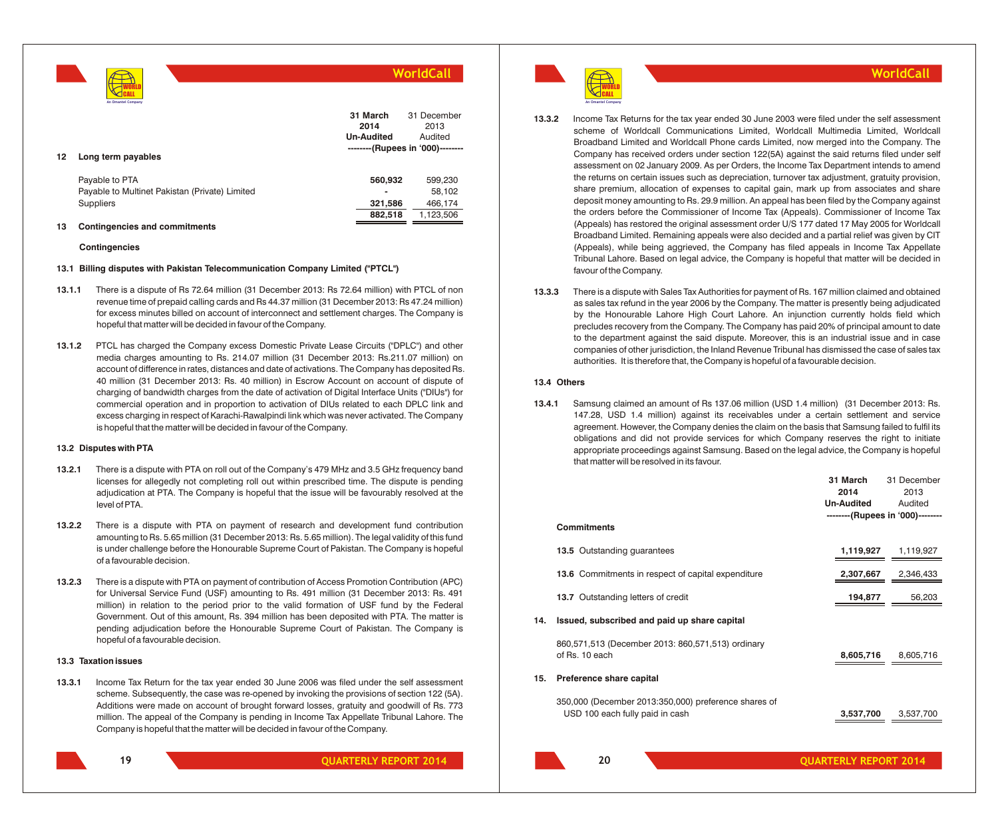**WorldCall** WORLD CALL **An Omantel Company 12 Long term payables 31 March 2014 Un-Audited** 31 December 2013 Audited **--------(Rupees in '000)--------**

| Pavable to PTA                                 | 560.932                  | 599.230   |
|------------------------------------------------|--------------------------|-----------|
| Pavable to Multinet Pakistan (Private) Limited | $\overline{\phantom{a}}$ | 58.102    |
| Suppliers                                      | 321.586                  | 466.174   |
|                                                | 882.518                  | 1.123.506 |

#### **13 Contingencies and commitments**

#### **Contingencies**

#### **13.1 Billing disputes with Pakistan Telecommunication Company Limited ("PTCL")**

- **13.1.1** There is a dispute of Rs 72.64 million (31 December 2013: Rs 72.64 million) with PTCL of non revenue time of prepaid calling cards and Rs 44.37 million (31 December 2013: Rs 47.24 million) for excess minutes billed on account of interconnect and settlement charges. The Company is hopeful that matter will be decided in favour of the Company.
- **13.1.2** PTCL has charged the Company excess Domestic Private Lease Circuits ("DPLC") and other media charges amounting to Rs. 214.07 million (31 December 2013: Rs.211.07 million) on account of difference in rates, distances and date of activations. The Company has deposited Rs. 40 million (31 December 2013: Rs. 40 million) in Escrow Account on account of dispute of charging of bandwidth charges from the date of activation of Digital Interface Units ("DIUs") for commercial operation and in proportion to activation of DIUs related to each DPLC link and excess charging in respect of Karachi-Rawalpindi link which was never activated. The Company is hopeful that the matter will be decided in favour of the Company.

#### **13.2 Disputes with PTA**

- **13.2.1** There is a dispute with PTA on roll out of the Company's 479 MHz and 3.5 GHz frequency band licenses for allegedly not completing roll out within prescribed time. The dispute is pending adjudication at PTA. The Company is hopeful that the issue will be favourably resolved at the level of PTA.
- **13.2.2** There is a dispute with PTA on payment of research and development fund contribution amounting to Rs. 5.65 million (31 December 2013: Rs. 5.65 million). The legal validity of this fund is under challenge before the Honourable Supreme Court of Pakistan. The Company is hopeful of a favourable decision.
- **13.2.3** There is a dispute with PTA on payment of contribution of Access Promotion Contribution (APC) for Universal Service Fund (USF) amounting to Rs. 491 million (31 December 2013: Rs. 491 million) in relation to the period prior to the valid formation of USF fund by the Federal Government. Out of this amount, Rs. 394 million has been deposited with PTA. The matter is pending adjudication before the Honourable Supreme Court of Pakistan. The Company is hopeful of a favourable decision.

#### **13.3 Taxation issues**

**13.3.1** Income Tax Return for the tax year ended 30 June 2006 was filed under the self assessment scheme. Subsequently, the case was re-opened by invoking the provisions of section 122 (5A). Additions were made on account of brought forward losses, gratuity and goodwill of Rs. 773 million. The appeal of the Company is pending in Income Tax Appellate Tribunal Lahore. The Company is hopeful that the matter will be decided in favour of the Company.



**QUARTERLY REPORT 2014 QUARTERLY REPORT 2014**

WORLD CALL **An Omantel Company**

## **13.3.2** Income Tax Returns for the tax year ended 30 June 2003 were filed under the self assessment scheme of Worldcall Communications Limited, Worldcall Multimedia Limited, Worldcall Broadband Limited and Worldcall Phone cards Limited, now merged into the Company. The Company has received orders under section 122(5A) against the said returns filed under self assessment on 02 January 2009. As per Orders, the Income Tax Department intends to amend the returns on certain issues such as depreciation, turnover tax adjustment, gratuity provision, share premium, allocation of expenses to capital gain, mark up from associates and share deposit money amounting to Rs. 29.9 million. An appeal has been filed by the Company against the orders before the Commissioner of Income Tax (Appeals). Commissioner of Income Tax (Appeals) has restored the original assessment order U/S 177 dated 17 May 2005 for Worldcall Broadband Limited. Remaining appeals were also decided and a partial relief was given by CIT (Appeals), while being aggrieved, the Company has filed appeals in Income Tax Appellate Tribunal Lahore. Based on legal advice, the Company is hopeful that matter will be decided in favour of the Company.

**13.3.3** There is a dispute with Sales Tax Authorities for payment of Rs. 167 million claimed and obtained as sales tax refund in the year 2006 by the Company. The matter is presently being adjudicated by the Honourable Lahore High Court Lahore. An injunction currently holds field which precludes recovery from the Company. The Company has paid 20% of principal amount to date to the department against the said dispute. Moreover, this is an industrial issue and in case companies of other jurisdiction, the Inland Revenue Tribunal has dismissed the case of sales tax authorities. It is therefore that, the Company is hopeful of a favourable decision.

## **13.4 Others**

**13.4.1** Samsung claimed an amount of Rs 137.06 million (USD 1.4 million) (31 December 2013: Rs. 147.28, USD 1.4 million) against its receivables under a certain settlement and service agreement. However, the Company denies the claim on the basis that Samsung failed to fulfil its obligations and did not provide services for which Company reserves the right to initiate appropriate proceedings against Samsung. Based on the legal advice, the Company is hopeful that matter will be resolved in its favour.

|     |                                                                                         | 31 March<br>2014<br><b>Un-Audited</b> | 31 December<br>2013<br>Audited<br>--------(Rupees in '000)-------- |
|-----|-----------------------------------------------------------------------------------------|---------------------------------------|--------------------------------------------------------------------|
|     | <b>Commitments</b>                                                                      |                                       |                                                                    |
|     | 13.5 Outstanding guarantees                                                             | 1,119,927                             | 1,119,927                                                          |
|     | 13.6 Commitments in respect of capital expenditure                                      | 2,307,667                             | 2,346,433                                                          |
|     | 13.7 Outstanding letters of credit                                                      | 194,877                               | 56,203                                                             |
| 14. | Issued, subscribed and paid up share capital                                            |                                       |                                                                    |
|     | 860,571,513 (December 2013: 860,571,513) ordinary<br>of Rs. 10 each                     | 8,605,716                             | 8,605,716                                                          |
| 15. | Preference share capital                                                                |                                       |                                                                    |
|     | 350,000 (December 2013:350,000) preference shares of<br>USD 100 each fully paid in cash | 3,537,700                             | 3,537,700                                                          |
|     | 20                                                                                      | <b>OUARTERLY REPORT 2014</b>          |                                                                    |

## **WorldCall**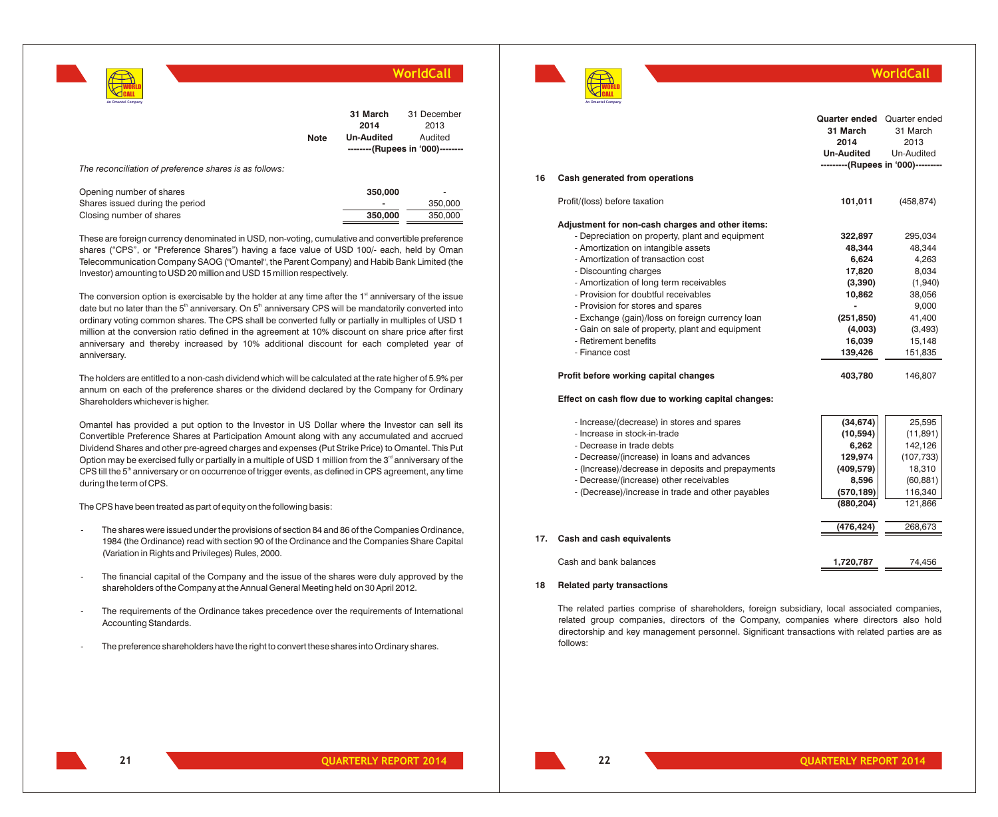|                    |  |             |                   | WorldCall                        |
|--------------------|--|-------------|-------------------|----------------------------------|
| An Omantel Company |  |             |                   |                                  |
|                    |  |             | 31 March          | 31 December                      |
|                    |  |             | 2014              | 2013                             |
|                    |  | <b>Note</b> | <b>Un-Audited</b> | Audited                          |
|                    |  |             |                   | --------(Rupees in '000)-------- |

*The reconciliation of preference shares is as follows:*

| Opening number of shares        | 350,000 | $\overline{\phantom{a}}$ |
|---------------------------------|---------|--------------------------|
| Shares issued during the period |         | 350,000                  |
| Closing number of shares        | 350.000 | 350,000                  |

These are foreign currency denominated in USD, non-voting, cumulative and convertible preference shares ("CPS", or "Preference Shares") having a face value of USD 100/- each, held by Oman Telecommunication Company SAOG ("Omantel", the Parent Company) and Habib Bank Limited (the Investor) amounting to USD 20 million and USD 15 million respectively.

The conversion option is exercisable by the holder at any time after the  $1<sup>st</sup>$  anniversary of the issue date but no later than the 5<sup>th</sup> anniversary. On 5<sup>th</sup> anniversary CPS will be mandatorily converted into ordinary voting common shares. The CPS shall be converted fully or partially in multiples of USD 1 million at the conversion ratio defined in the agreement at 10% discount on share price after first anniversary and thereby increased by 10% additional discount for each completed year of anniversary.

The holders are entitled to a non-cash dividend which will be calculated at the rate higher of 5.9% per annum on each of the preference shares or the dividend declared by the Company for Ordinary Shareholders whichever is higher.

Omantel has provided a put option to the Investor in US Dollar where the Investor can sell its Convertible Preference Shares at Participation Amount along with any accumulated and accrued Dividend Shares and other pre-agreed charges and expenses (Put Strike Price) to Omantel. This Put Option may be exercised fully or partially in a multiple of USD 1 million from the 3<sup>rd</sup> anniversary of the CPS till the 5<sup>th</sup> anniversary or on occurrence of trigger events, as defined in CPS agreement, any time during the term of CPS.

The CPS have been treated as part of equity on the following basis:

- The shares were issued under the provisions of section 84 and 86 of the Companies Ordinance, 1984 (the Ordinance) read with section 90 of the Ordinance and the Companies Share Capital (Variation in Rights and Privileges) Rules, 2000.
- The financial capital of the Company and the issue of the shares were duly approved by the shareholders of the Company at the Annual General Meeting held on 30 April 2012.
- The requirements of the Ordinance takes precedence over the requirements of International Accounting Standards.
- The preference shareholders have the right to convert these shares into Ordinary shares.



## **WorldCall**

| 16  | Cash generated from operations                                                                                                                                                                                                                                                                                                                                                                                                                                                                                                                                                     | <b>Quarter ended</b> Quarter ended<br>31 March<br>2014<br><b>Un-Audited</b><br>---------(Rupees in '000)----------                   | 31 March<br>2013<br>Un-Audited                                                                                         |
|-----|------------------------------------------------------------------------------------------------------------------------------------------------------------------------------------------------------------------------------------------------------------------------------------------------------------------------------------------------------------------------------------------------------------------------------------------------------------------------------------------------------------------------------------------------------------------------------------|--------------------------------------------------------------------------------------------------------------------------------------|------------------------------------------------------------------------------------------------------------------------|
|     | Profit/(loss) before taxation                                                                                                                                                                                                                                                                                                                                                                                                                                                                                                                                                      | 101,011                                                                                                                              | (458, 874)                                                                                                             |
|     | Adjustment for non-cash charges and other items:<br>- Depreciation on property, plant and equipment<br>- Amortization on intangible assets<br>- Amortization of transaction cost<br>- Discounting charges<br>- Amortization of long term receivables<br>- Provision for doubtful receivables<br>- Provision for stores and spares<br>- Exchange (gain)/loss on foreign currency loan<br>- Gain on sale of property, plant and equipment<br>- Retirement benefits<br>- Finance cost<br>Profit before working capital changes<br>Effect on cash flow due to working capital changes: | 322,897<br>48,344<br>6,624<br>17,820<br>(3,390)<br>10,862<br>$\overline{a}$<br>(251, 850)<br>(4,003)<br>16,039<br>139,426<br>403,780 | 295,034<br>48,344<br>4,263<br>8,034<br>(1,940)<br>38,056<br>9,000<br>41,400<br>(3,493)<br>15,148<br>151,835<br>146,807 |
| 17. | - Increase/(decrease) in stores and spares<br>- Increase in stock-in-trade<br>- Decrease in trade debts<br>- Decrease/(increase) in loans and advances<br>- (Increase)/decrease in deposits and prepayments<br>- Decrease/(increase) other receivables<br>- (Decrease)/increase in trade and other payables<br>Cash and cash equivalents                                                                                                                                                                                                                                           | (34, 674)<br>(10, 594)<br>6,262<br>129,974<br>(409, 579)<br>8,596<br>(570, 189)<br>(880, 204)<br>(476, 424)                          | 25,595<br>(11, 891)<br>142,126<br>(107, 733)<br>18,310<br>(60, 881)<br>116,340<br>121,866<br>268,673                   |
|     | Cash and bank balances                                                                                                                                                                                                                                                                                                                                                                                                                                                                                                                                                             | 1,720,787                                                                                                                            | 74.456                                                                                                                 |

## **18 Related party transactions**

The related parties comprise of shareholders, foreign subsidiary, local associated companies, related group companies, directors of the Company, companies where directors also hold directorship and key management personnel. Significant transactions with related parties are as follows: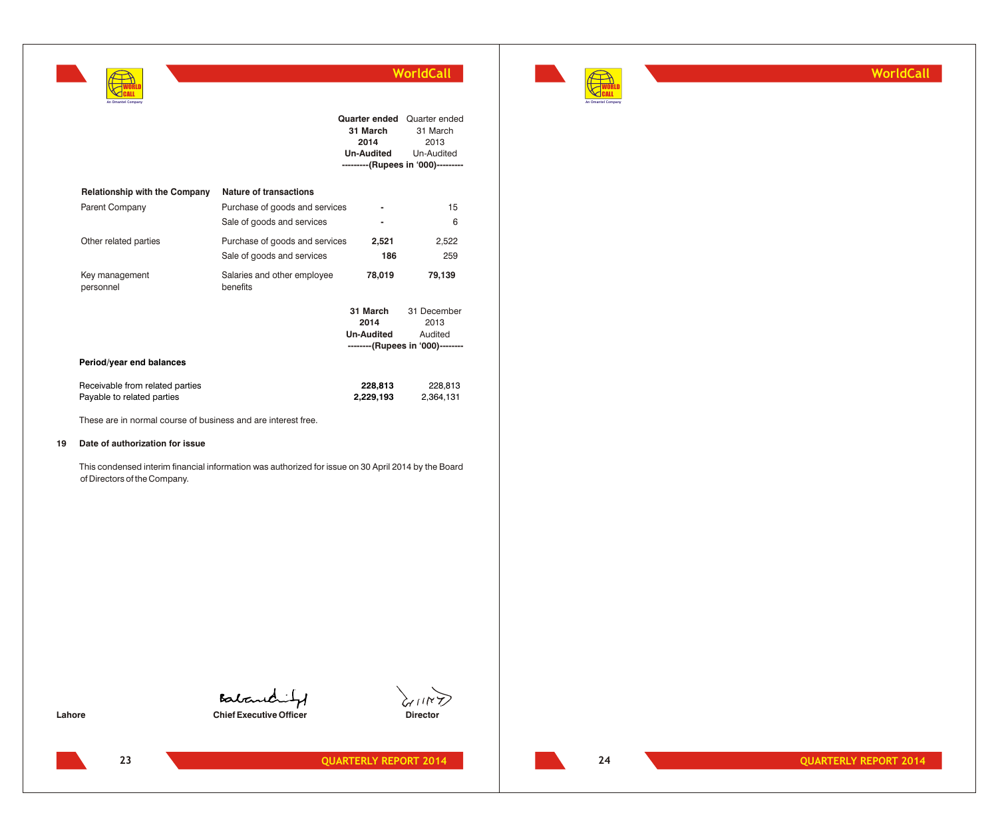

**WorldCall**

| $\bigcap$ CAII<br>An Omantel Company |                                         |                                                        |                                                                                       |
|--------------------------------------|-----------------------------------------|--------------------------------------------------------|---------------------------------------------------------------------------------------|
|                                      |                                         | Quarter ended<br>31 March<br>2014<br><b>Un-Audited</b> | Quarter ended<br>31 March<br>2013<br>Un-Audited<br>---------(Rupees in '000)--------- |
| <b>Relationship with the Company</b> | Nature of transactions                  |                                                        |                                                                                       |
| <b>Parent Company</b>                | Purchase of goods and services          |                                                        | 15                                                                                    |
|                                      | Sale of goods and services              |                                                        | 6                                                                                     |
| Other related parties                | Purchase of goods and services          | 2,521                                                  | 2,522                                                                                 |
|                                      | Sale of goods and services              | 186                                                    | 259                                                                                   |
| Key management<br>personnel          | Salaries and other employee<br>benefits | 78,019                                                 | 79,139                                                                                |
|                                      |                                         | 31 March                                               | 31 December                                                                           |
|                                      |                                         | 2014                                                   | 2013                                                                                  |
|                                      |                                         | <b>Un-Audited</b>                                      | Audited<br>--------(Rupees in '000)--------                                           |
| Period/year end balances             |                                         |                                                        |                                                                                       |
|                                      |                                         |                                                        |                                                                                       |
| Receivable from related parties      |                                         | 228.813                                                | 228,813                                                                               |
| Payable to related parties           |                                         | 2,229,193                                              | 2,364,131                                                                             |

These are in normal course of business and are interest free.

#### **19 Date of authorization for issue**

WORLD

This condensed interim financial information was authorized for issue on 30 April 2014 by the Board of Directors of the Company.

Babanchit **Lahore Chief Executive Officer Chief Executive Officer Director** 



**23**

**24**

**QUARTERLY REPORT 2014 QUARTERLY REPORT 2014**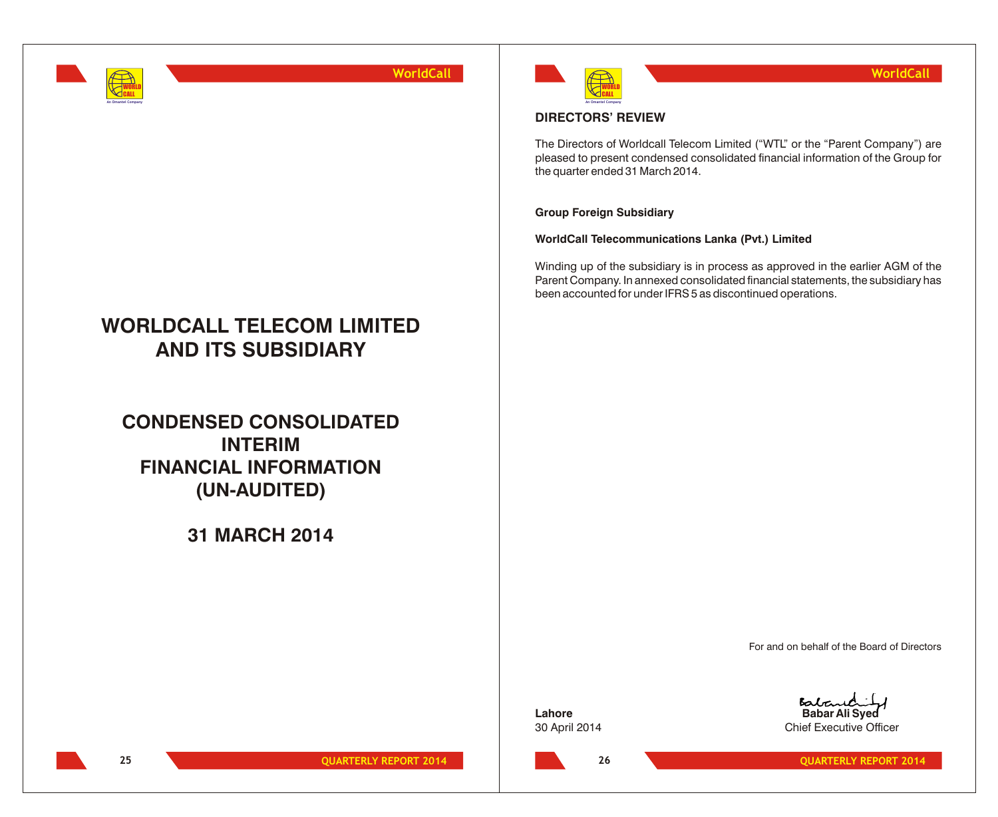

# **WORLDCALL TELECOM LIMITED AND ITS SUBSIDIARY**

**CONDENSED CONSOLIDATED INTERIM FINANCIAL INFORMATION (UN-AUDITED)**

## **31 MARCH 2014**



## **DIRECTORS' REVIEW**

The Directors of Worldcall Telecom Limited ("WTL" or the "Parent Company") are pleased to present condensed consolidated financial information of the Group for the quarter ended 31 March 2014.

## **Group Foreign Subsidiary**

**WorldCall Telecommunications Lanka (Pvt.) Limited**

Winding up of the subsidiary is in process as approved in the earlier AGM of the Parent Company. In annexed consolidated financial statements, the subsidiary has been accounted for under IFRS 5 as discontinued operations.

For and on behalf of the Board of Directors

**Lahore Babar Ali Syed** 30 April 2014 Chief Executive Officer

**26**

**25 QUARTERLY REPORT 2014 CONSUMING A REPORT 2014 26 26 QUARTERLY REPORT 2014**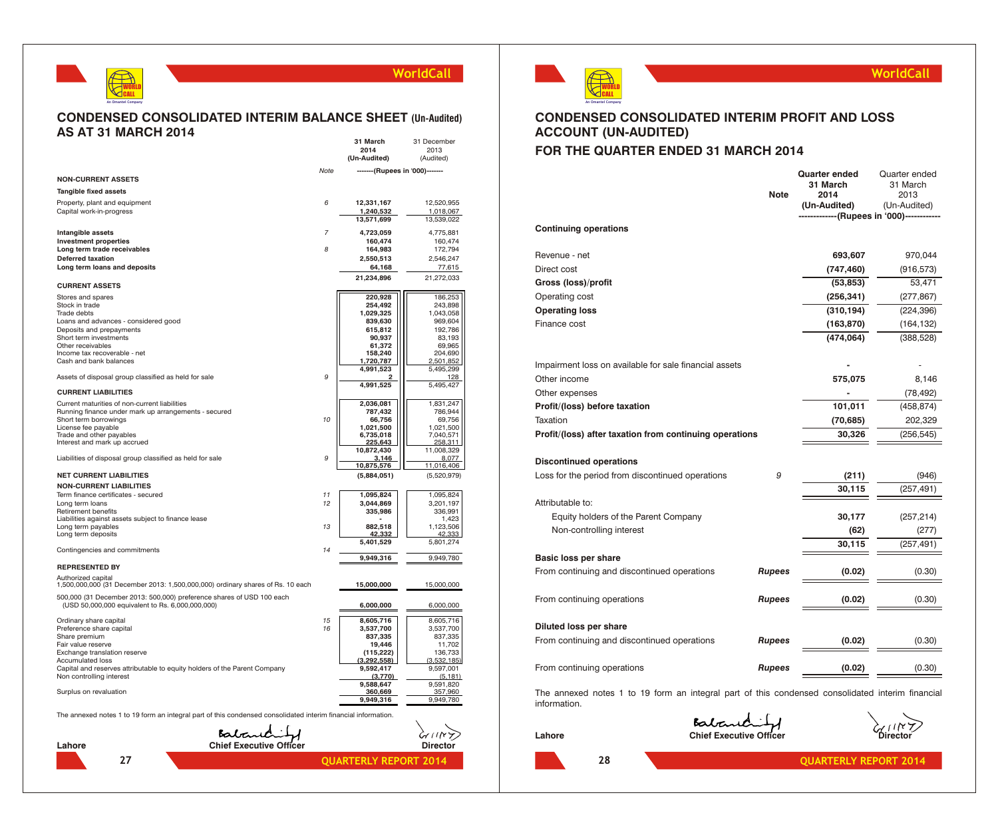## WORLD CALL **An Omantel Company**

**27**

## **WorldCall**

## **CONDENSED CONSOLIDATED INTERIM BALANCE SHEET (Un-Audited) AS AT 31 MARCH 2014 31 March** 31 December

|                                                                                                               |      | 2014                            | 2013                   |
|---------------------------------------------------------------------------------------------------------------|------|---------------------------------|------------------------|
|                                                                                                               |      | (Un-Audited)                    | (Audited)              |
|                                                                                                               | Note | ------- (Rupees in '000)------- |                        |
| <b>NON-CURRENT ASSETS</b>                                                                                     |      |                                 |                        |
| <b>Tangible fixed assets</b>                                                                                  |      |                                 |                        |
| Property, plant and equipment                                                                                 | 6    | 12,331,167                      | 12,520,955             |
| Capital work-in-progress                                                                                      |      | 1,240,532                       | 1,018,067              |
|                                                                                                               |      | 13,571,699                      | 13,539,022             |
| Intangible assets                                                                                             | 7    | 4,723,059                       | 4,775,881              |
| <b>Investment properties</b>                                                                                  | R    | 160,474                         | 160,474                |
| Long term trade receivables<br><b>Deferred taxation</b>                                                       |      | 164,983<br>2,550,513            | 172,794<br>2,546,247   |
| Long term loans and deposits                                                                                  |      | 64,168                          | 77,615                 |
|                                                                                                               |      | 21,234,896                      | 21,272,033             |
| <b>CURRENT ASSETS</b>                                                                                         |      |                                 |                        |
| Stores and spares                                                                                             |      | 220,928                         | 186,253                |
| Stock in trade                                                                                                |      | 254,492                         | 243,898                |
| Trade debts                                                                                                   |      | 1,029,325                       | 1,043,058              |
| Loans and advances - considered good<br>Deposits and prepayments                                              |      | 839,630<br>615,812              | 969,604<br>192,786     |
| Short term investments                                                                                        |      | 90,937                          | 83,193                 |
| Other receivables                                                                                             |      | 61,372                          | 69,965                 |
| Income tax recoverable - net<br>Cash and bank balances                                                        |      | 158,240<br>1,720,787            | 204,690<br>2,501,852   |
|                                                                                                               |      | 4,991,523                       | 5,495,299              |
| Assets of disposal group classified as held for sale                                                          | 9    |                                 | 128                    |
| <b>CURRENT LIABILITIES</b>                                                                                    |      | 4,991,525                       | 5,495,427              |
| Current maturities of non-current liabilities                                                                 |      | 2,036,081                       | 1,831,247              |
| Running finance under mark up arrangements - secured                                                          |      | 787,432                         | 786,944                |
| Short term borrowings                                                                                         | 10   | 66,756                          | 69,756                 |
| License fee payable                                                                                           |      | 1,021,500                       | 1,021,500              |
| Trade and other payables<br>Interest and mark up accrued                                                      |      | 6,735,018<br>225.643            | 7,040,571<br>258.311   |
|                                                                                                               |      | 10,872,430                      | 11,008,329             |
| Liabilities of disposal group classified as held for sale                                                     | 9    | 3.146<br>10,875,576             | 8.077<br>11,016,406    |
| <b>NET CURRENT LIABILITIES</b>                                                                                |      | (5,884,051)                     | (5,520,979)            |
| <b>NON-CURRENT LIABILITIES</b>                                                                                |      |                                 |                        |
| Term finance certificates - secured                                                                           | 11   | 1,095,824                       | 1,095,824              |
| Long term loans                                                                                               | 12   | 3,044,869                       | 3,201,197              |
| Retirement benefits                                                                                           |      | 335,986                         | 336,991                |
| Liabilities against assets subject to finance lease<br>Long term payables                                     | 13   | 882,518                         | 1,423<br>1,123,506     |
| Long term deposits                                                                                            |      | 42.332                          | 42.333                 |
|                                                                                                               |      | 5,401,529                       | 5,801,274              |
| Contingencies and commitments                                                                                 | 14   | 9,949,316                       | 9,949,780              |
| <b>REPRESENTED BY</b>                                                                                         |      |                                 |                        |
| Authorized capital                                                                                            |      |                                 |                        |
| 1,500,000,000 (31 December 2013: 1,500,000,000) ordinary shares of Rs. 10 each                                |      | 15,000,000                      | 15,000,000             |
| 500,000 (31 December 2013: 500,000) preference shares of USD 100 each                                         |      |                                 |                        |
| (USD 50,000,000 equivalent to Rs. 6,000,000,000)                                                              |      | 6,000,000                       | 6,000,000              |
|                                                                                                               | 15   | 8,605,716                       | 8,605,716              |
| Ordinary share capital<br>Preference share capital                                                            | 16   | 3,537,700                       | 3,537,700              |
| Share premium                                                                                                 |      | 837,335                         | 837,335                |
| Fair value reserve                                                                                            |      | 19,446                          | 11,702                 |
| Exchange translation reserve<br>Accumulated loss                                                              |      | (115, 222)<br>(3, 292, 558)     | 136,733<br>(3,532,185) |
| Capital and reserves attributable to equity holders of the Parent Company                                     |      | 9,592,417                       | 9,597,001              |
| Non controlling interest                                                                                      |      | (3.770)                         | (5.181)                |
| Surplus on revaluation                                                                                        |      | 9,588,647<br>360,669            | 9,591,820<br>357,960   |
|                                                                                                               |      | 9,949,316                       | 9,949,780              |
|                                                                                                               |      |                                 |                        |
| The annexed notes 1 to 19 form an integral part of this condensed consolidated interim financial information. |      |                                 |                        |
| Batanchit                                                                                                     |      |                                 |                        |
| <b>Chief Executive Officer</b>                                                                                |      |                                 |                        |
| Lahore                                                                                                        |      |                                 | Directo                |



## **WorldCall**

## **CONDENSED CONSOLIDATED INTERIM PROFIT AND LOSS ACCOUNT (UN-AUDITED)**

## **FOR THE QUARTER ENDED 31 MARCH 2014**

| <b>Continuing operations</b>                            | <b>Note</b>   | <b>Quarter ended</b><br>31 March<br>2014<br>(Un-Audited)<br>---------(Rupees in '000)------ | Quarter ended<br>31 March<br>2013<br>(Un-Audited) |
|---------------------------------------------------------|---------------|---------------------------------------------------------------------------------------------|---------------------------------------------------|
|                                                         |               |                                                                                             |                                                   |
| Revenue - net                                           |               | 693,607                                                                                     | 970,044                                           |
| Direct cost                                             |               | (747, 460)                                                                                  | (916, 573)                                        |
| Gross (loss)/profit                                     |               | (53, 853)                                                                                   | 53,471                                            |
| Operating cost                                          |               | (256, 341)                                                                                  | (277, 867)                                        |
| <b>Operating loss</b>                                   |               | (310, 194)                                                                                  | (224, 396)                                        |
| Finance cost                                            |               | (163, 870)                                                                                  | (164, 132)                                        |
|                                                         |               | (474, 064)                                                                                  | (388, 528)                                        |
| Impairment loss on available for sale financial assets  |               |                                                                                             |                                                   |
| Other income                                            |               | 575,075                                                                                     | 8,146                                             |
| Other expenses                                          |               |                                                                                             | (78, 492)                                         |
| Profit/(loss) before taxation                           |               | 101,011                                                                                     | (458, 874)                                        |
| Taxation                                                |               | (70, 685)                                                                                   | 202,329                                           |
| Profit/(loss) after taxation from continuing operations |               | 30,326                                                                                      | (256, 545)                                        |
| <b>Discontinued operations</b>                          |               |                                                                                             |                                                   |
| Loss for the period from discontinued operations        | 9             | (211)                                                                                       | (946)                                             |
|                                                         |               | 30,115                                                                                      | (257, 491)                                        |
| Attributable to:                                        |               |                                                                                             |                                                   |
| Equity holders of the Parent Company                    |               | 30,177                                                                                      | (257, 214)                                        |
| Non-controlling interest                                |               | (62)                                                                                        | (277)                                             |
|                                                         |               | 30,115                                                                                      | (257, 491)                                        |
| Basic loss per share                                    |               |                                                                                             |                                                   |
| From continuing and discontinued operations             | <b>Rupees</b> | (0.02)                                                                                      | (0.30)                                            |
| From continuing operations                              | <b>Rupees</b> | (0.02)                                                                                      | (0.30)                                            |
| Diluted loss per share                                  |               |                                                                                             |                                                   |
| From continuing and discontinued operations             | <b>Rupees</b> | (0.02)                                                                                      | (0.30)                                            |
| From continuing operations                              | <b>Rupees</b> | (0.02)                                                                                      | (0.30)                                            |
|                                                         |               |                                                                                             |                                                   |

The annexed notes 1 to 19 form an integral part of this condensed consolidated interim financial information.

Babarich **Lahore Chief Executive Officer Director**

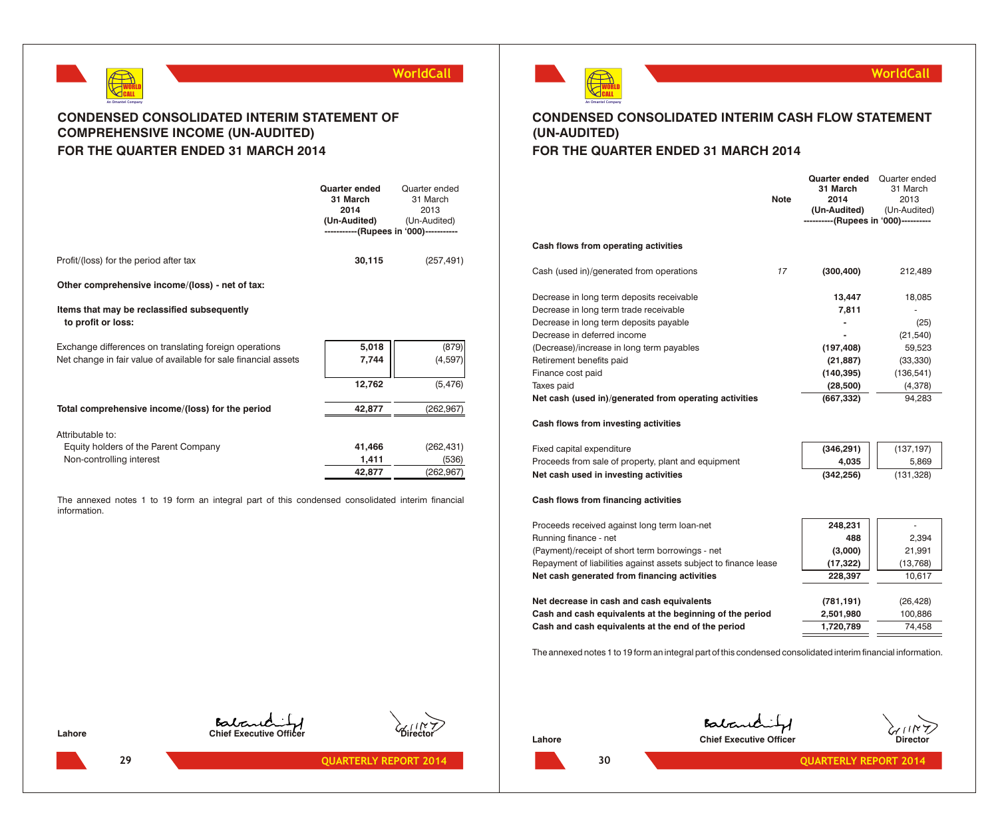



## **CONDENSED CONSOLIDATED INTERIM STATEMENT OF COMPREHENSIVE INCOME (UN-AUDITED) FOR THE QUARTER ENDED 31 MARCH 2014**

|                                                                                                                           | Quarter ended<br>31 March<br>2014<br>(Un-Audited)<br>-----------(Rupees in '000)----------- | Quarter ended<br>31 March<br>2013<br>(Un-Audited) |
|---------------------------------------------------------------------------------------------------------------------------|---------------------------------------------------------------------------------------------|---------------------------------------------------|
| Profit/(loss) for the period after tax                                                                                    | 30,115                                                                                      | (257, 491)                                        |
| Other comprehensive income/(loss) - net of tax:                                                                           |                                                                                             |                                                   |
| Items that may be reclassified subsequently<br>to profit or loss:                                                         |                                                                                             |                                                   |
| Exchange differences on translating foreign operations<br>Net change in fair value of available for sale financial assets | 5,018<br>7,744                                                                              | (879)<br>(4, 597)                                 |
|                                                                                                                           | 12,762                                                                                      | (5, 476)                                          |
| Total comprehensive income/(loss) for the period                                                                          | 42,877                                                                                      | (262, 967)                                        |
| Attributable to:<br>Equity holders of the Parent Company<br>Non-controlling interest                                      | 41,466<br>1,411                                                                             | (262, 431)<br>(536)                               |
|                                                                                                                           | 42,877                                                                                      | (262,967)                                         |

The annexed notes 1 to 19 form an integral part of this condensed consolidated interim financial information.



## **WorldCall**

## **CONDENSED CONSOLIDATED INTERIM CASH FLOW STATEMENT (UN-AUDITED)**

## **FOR THE QUARTER ENDED 31 MARCH 2014**

|                                                                  | <b>Note</b> | <b>Quarter ended</b><br>31 March<br>2014<br>(Un-Audited)<br>----------(Rupees in '000)---------- | Quarter ended<br>31 March<br>2013<br>(Un-Audited) |
|------------------------------------------------------------------|-------------|--------------------------------------------------------------------------------------------------|---------------------------------------------------|
| Cash flows from operating activities                             |             |                                                                                                  |                                                   |
| Cash (used in)/generated from operations                         | 17          | (300, 400)                                                                                       | 212,489                                           |
| Decrease in long term deposits receivable                        |             | 13,447                                                                                           | 18,085                                            |
| Decrease in long term trade receivable                           |             | 7,811                                                                                            |                                                   |
| Decrease in long term deposits payable                           |             |                                                                                                  | (25)                                              |
| Decrease in deferred income                                      |             |                                                                                                  | (21, 540)                                         |
| (Decrease)/increase in long term payables                        |             | (197, 408)                                                                                       | 59,523                                            |
| Retirement benefits paid                                         |             | (21, 887)                                                                                        | (33, 330)                                         |
| Finance cost paid                                                |             | (140, 395)                                                                                       | (136, 541)                                        |
| Taxes paid                                                       |             | (28, 500)                                                                                        | (4,378)                                           |
| Net cash (used in)/generated from operating activities           |             | (667, 332)                                                                                       | 94,283                                            |
| Cash flows from investing activities                             |             |                                                                                                  |                                                   |
| Fixed capital expenditure                                        |             | (346, 291)                                                                                       | (137, 197)                                        |
| Proceeds from sale of property, plant and equipment              |             | 4,035                                                                                            | 5,869                                             |
| Net cash used in investing activities                            |             | (342, 256)                                                                                       | (131, 328)                                        |
| Cash flows from financing activities                             |             |                                                                                                  |                                                   |
| Proceeds received against long term loan-net                     |             | 248,231                                                                                          |                                                   |
| Running finance - net                                            |             | 488                                                                                              | 2,394                                             |
| (Payment)/receipt of short term borrowings - net                 |             | (3,000)                                                                                          | 21,991                                            |
| Repayment of liabilities against assets subject to finance lease |             | (17, 322)                                                                                        | (13,768)                                          |
| Net cash generated from financing activities                     |             | 228,397                                                                                          | 10,617                                            |
|                                                                  |             |                                                                                                  |                                                   |

**Net decrease in cash and cash equivalents (781,191)** (26,428) **Cash and cash equivalents at the beginning of the period 2,501,980** 100,886 **Cash and cash equivalents at the end of the period <b>1,720,789 1,720,789 1** 



The annexed notes 1 to 19 form an integral part of this condensed consolidated interim financial information.

**29**

Babaric **Lahore Chief Executive Officer** 

Balanchity **Lahore Chief Executive Officer Director Director** 

**QUARTERLY REPORT 2014 QUARTERLY REPORT 2014**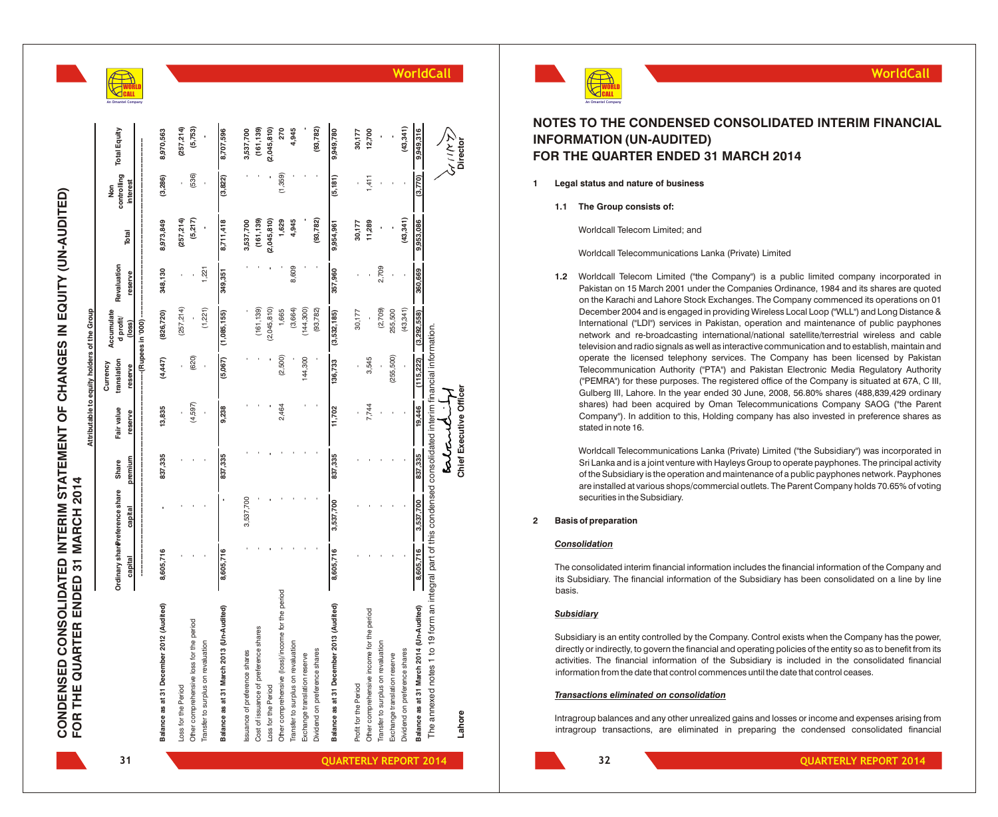**31**

# CONDENSED CONSOLIDATED INTERIM STATEMENT OF CHANGES IN EQUITY (UN-AUDITED)<br>FOR THE QUARTER ENDED 31 MARCH 2014 **CONDENSED CONSOLIDATED INTERIM STATEMENT OF CHANGES IN EQUITY (UN-AUDITED)** equity holders of the Group table to **FOR THE QUARTER ENDED 31 MARCH 2014**

**WO** O R L D

|                                                                                                               |              | Ordinary sharereference share | Share   | Fair value              | translation<br>Currency | Accumulate<br>d profit/          | Revaluation | Total       | controlling<br>Non | <b>Total Equity</b> |
|---------------------------------------------------------------------------------------------------------------|--------------|-------------------------------|---------|-------------------------|-------------------------|----------------------------------|-------------|-------------|--------------------|---------------------|
|                                                                                                               | capital<br>İ | capital                       | premium | reserve                 | reserve                 | -- (Rupees in '000) --<br>(loss) | reserve     |             | interest           |                     |
| Balance as at 31 December 2012 (Audited)                                                                      | 8,605,716    |                               | 837,335 | 13,835                  | (4,447)                 | (826, 720)                       | 348,130     | 8,973,849   | (3,286)            | 8,970,563           |
|                                                                                                               |              |                               |         |                         |                         |                                  |             |             |                    |                     |
| Loss for the Period                                                                                           |              |                               |         |                         |                         | (257, 214)                       |             | (257, 214)  |                    | (257, 214)          |
| Other comprehensive loss for the period                                                                       |              |                               |         | (4,597)                 | (620)                   |                                  |             | (5,217)     | (536)              | (5,753)             |
| Transfer to surplus on revaluation                                                                            |              |                               |         |                         |                         | (1,221)                          | 1,221       |             |                    |                     |
| Balance as at 31 March 2013 (Un-Audited)                                                                      | 8,605,716    |                               | 837,335 | 9,238                   | (5,067)                 | (1,085,155)                      | 349,351     | 8,711,418   | (3,822)            | 8,707,596           |
| Issuance of preference shares                                                                                 |              | 3,537,700                     |         |                         |                         |                                  |             | 3,537,700   |                    | 3,537,700           |
| Cost of issuance of preference shares                                                                         |              |                               |         |                         |                         | (161, 139)                       |             | (161, 139)  |                    | (161, 139)          |
| -oss for the Period                                                                                           |              |                               |         |                         |                         | (2,045,810)                      |             | (2,045,810) |                    | (2,045,810)         |
| Other comprehensive (loss)/income for the period                                                              |              |                               |         | 2,464                   | (2,500)                 | 1,665                            |             | 1,629       | (1,359)            | 270                 |
| ransfer to surplus on revaluation                                                                             |              |                               |         |                         |                         | (3,664)                          | 8,609       | 4,945       |                    | 4,945               |
| Exchange translation reserve                                                                                  |              |                               |         |                         | 144,300                 | (144,300)                        |             |             |                    |                     |
| Dividend on preference shares                                                                                 |              |                               |         |                         |                         | (93, 782)                        |             | (93, 782)   |                    | (93, 782)           |
| Balance as at 31 December 2013 (Audited)                                                                      | 8,605,716    | 3,537,700                     | 837,335 | 11,702                  | 136,733                 | (3,532,185)                      | 357,960     | 9,954,961   | (5, 181)           | 9,949,780           |
| Profit for the Period                                                                                         |              |                               |         |                         | ï                       | 30,177                           |             | 30,177      |                    | 30,177              |
| Other comprehensive income for the period                                                                     |              |                               |         | 7,744                   | 3,545                   |                                  |             | 11,289      | 1,411              | 12,700              |
| ransfer to surplus on revaluation                                                                             |              |                               |         |                         |                         | (2,709)                          | 2,709       |             |                    |                     |
| Exchange translation reserve                                                                                  |              |                               |         |                         | (255, 500)              | 255,500                          |             |             |                    |                     |
| Dividend on preference shares                                                                                 |              |                               |         |                         |                         | (43, 341)                        |             | (43, 341)   |                    | (43, 341)           |
| Balance as at 31 March 2014 (Un-Audited)                                                                      | 8,605,716    | 3,537,700                     | 837,335 | 19,446                  |                         | $(115,222)$ $(3,292,558)$        | 360,669     | 9,953,086   | (3,770)            | 9,949,316           |
| The annexed notes 1 to 19 form an integral part of this condensed consolidated interim financial information. |              |                               |         |                         |                         |                                  |             |             |                    |                     |
|                                                                                                               |              |                               |         | estant                  |                         |                                  |             |             |                    | ダニスル                |
| Lahore                                                                                                        |              |                               |         | Chief Executive Officer |                         |                                  |             |             |                    | Director            |

**WorldCall**

## **NOTES TO THE CONDENSED CONSOLIDATED INTERIM FINANCIAL INFORMATION (UN-AUDITED) FOR THE QUARTER ENDED 31 MARCH 2014**

- **1 Legal status and nature of business**
	- **1.1 The Group consists of:**

Worldcall Telecom Limited; and

Worldcall Telecommunications Lanka (Private) Limited

1.2 Worldcall Telecom Limited ("the Company") is a public limited company incorporated in Pakistan on 15 March 2001 under the Companies Ordinance, 1984 and its shares are quoted on the Karachi and Lahore Stock Exchanges. The Company commenced its operations on 01 December 2004 and is engaged in providing Wireless Local Loop ("WLL") and Long Distance & International ("LDI") services in Pakistan, operation and maintenance of public payphones network and re-broadcasting international/national satellite/terrestrial wireless and cable television and radio signals as well as interactive communication and to establish, maintain and operate the licensed telephony services. The Company has been licensed by Pakistan Telecommunication Authority ("PTA") and Pakistan Electronic Media Regulatory Authority ("PEMRA") for these purposes. The registered office of the Company is situated at 67A, C III, Gulberg III, Lahore. In the year ended 30 June, 2008, 56.80% shares (488,839,429 ordinary shares) had been acquired by Oman Telecommunications Company SAOG ("the Parent Company"). In addition to this, Holding company has also invested in preference shares as stated in note 16. **intragram is the companying transfer of the consolidated in the consolidated in the consolidated in the consolidated financial WorldCall WorldCall Telecomponents of the Company in the company incorporated in the company i** 

Worldcall Telecommunications Lanka (Private) Limited ("the Subsidiary") was incorporated in Sri Lanka and is a joint venture with Hayleys Group to operate payphones. The principal activity of the Subsidiary is the operation and maintenance of a public payphones network. Payphones are installed at various shops/commercial outlets. The Parent Company holds 70.65% of voting securities in the Subsidiary .

## **2 Basis of preparation**

#### *Consolidation*

The consolidated interim financial information includes the financial information of the Company and its Subsidiary. The financial information of the Subsidiary has been consolidated on a line by line basis.

## *Subsidiary*

Subsidiary is an entity controlled by the Company. Control exists when the Company has the power, directly or indirectly, to govern the financial and operating policies of the entity so as to benefit from its activities. The financial information of the Subsidiary is included in the consolidated financial information from the date that control commences until the date that control ceases.

## *Transactions eliminated on consolidation*

Intragroup balances and any other unrealized gains and losses or income and expenses arising from

**Chief Executive Officer Director**

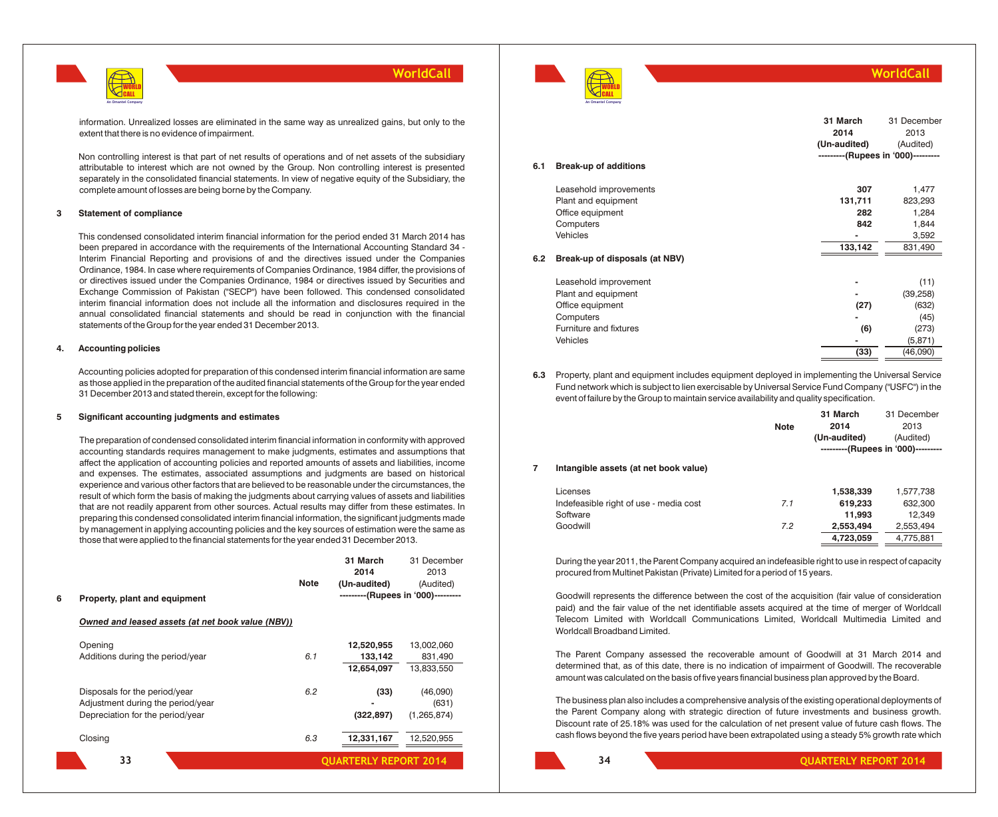

information. Unrealized losses are eliminated in the same way as unrealized gains, but only to the extent that there is no evidence of impairment.

Non controlling interest is that part of net results of operations and of net assets of the subsidiary attributable to interest which are not owned by the Group. Non controlling interest is presented separately in the consolidated financial statements. In view of negative equity of the Subsidiary, the complete amount of losses are being borne by the Company.

#### **3 Statement of compliance**

This condensed consolidated interim financial information for the period ended 31 March 2014 has been prepared in accordance with the requirements of the International Accounting Standard 34 - Interim Financial Reporting and provisions of and the directives issued under the Companies Ordinance, 1984. In case where requirements of Companies Ordinance, 1984 differ, the provisions of or directives issued under the Companies Ordinance, 1984 or directives issued by Securities and Exchange Commission of Pakistan ("SECP") have been followed. This condensed consolidated interim financial information does not include all the information and disclosures required in the annual consolidated financial statements and should be read in conjunction with the financial statements of the Group for the year ended 31 December 2013.

#### **4. Accounting policies**

Accounting policies adopted for preparation of this condensed interim financial information are same as those applied in the preparation of the audited financial statements of the Group for the year ended 31 December 2013 and stated therein, except for the following:

#### **5 Significant accounting judgments and estimates**

The preparation of condensed consolidated interim financial information in conformity with approved accounting standards requires management to make judgments, estimates and assumptions that affect the application of accounting policies and reported amounts of assets and liabilities, income and expenses. The estimates, associated assumptions and judgments are based on historical experience and various other factors that are believed to be reasonable under the circumstances, the result of which form the basis of making the judgments about carrying values of assets and liabilities that are not readily apparent from other sources. Actual results may differ from these estimates. In preparing this condensed consolidated interim financial information, the significant judgments made by management in applying accounting policies and the key sources of estimation were the same as those that were applied to the financial statements for the year ended 31 December 2013.

|   |                                                                                                        |             | 31 March<br>2014                                   | 31 December<br>2013                 |
|---|--------------------------------------------------------------------------------------------------------|-------------|----------------------------------------------------|-------------------------------------|
| 6 | Property, plant and equipment                                                                          | <b>Note</b> | (Un-audited)<br>---------(Rupees in '000)--------- | (Audited)                           |
|   | Owned and leased assets (at net book value (NBV))                                                      |             |                                                    |                                     |
|   | Opening<br>Additions during the period/year                                                            | 6.1         | 12,520,955<br>133,142<br>12,654,097                | 13,002,060<br>831,490<br>13,833,550 |
|   | Disposals for the period/year<br>Adjustment during the period/year<br>Depreciation for the period/year | 6.2         | (33)<br>(322, 897)                                 | (46,090)<br>(631)<br>(1, 265, 874)  |
|   | Closing                                                                                                | 6.3         | 12,331,167                                         | 12,520,955                          |
|   | 33                                                                                                     |             | <b>QUARTERLY REPORT 2014</b>                       |                                     |



## **WorldCall**

|     |                                | 31 March                           | 31 December |
|-----|--------------------------------|------------------------------------|-------------|
|     |                                | 2014                               | 2013        |
|     |                                | (Un-audited)                       | (Audited)   |
|     |                                | ---------(Rupees in '000)--------- |             |
| 6.1 | <b>Break-up of additions</b>   |                                    |             |
|     | Leasehold improvements         | 307                                | 1,477       |
|     | Plant and equipment            | 131,711                            | 823,293     |
|     | Office equipment               | 282                                | 1,284       |
|     | Computers                      | 842                                | 1,844       |
|     | Vehicles                       |                                    | 3,592       |
|     |                                | 133,142                            | 831,490     |
| 6.2 | Break-up of disposals (at NBV) |                                    |             |
|     | Leasehold improvement          |                                    | (11)        |
|     | Plant and equipment            |                                    | (39, 258)   |
|     | Office equipment               | (27)                               | (632)       |
|     | Computers                      |                                    | (45)        |
|     | Furniture and fixtures         | (6)                                | (273)       |
|     | Vehicles                       |                                    | (5, 871)    |
|     |                                | (33)                               | (46,090)    |

**6.3** Property, plant and equipment includes equipment deployed in implementing the Universal Service Fund network which is subject to lien exercisable by Universal Service Fund Company ("USFC") in the event of failure by the Group to maintain service availability and quality specification.

|   |                                        | <b>Note</b> | 31 March<br>2014<br>(Un-audited) | 31 December<br>2013<br>(Audited)<br>---------(Rupees in '000)--------- |
|---|----------------------------------------|-------------|----------------------------------|------------------------------------------------------------------------|
| 7 | Intangible assets (at net book value)  |             |                                  |                                                                        |
|   | Licenses                               |             | 1,538,339                        | 1,577,738                                                              |
|   | Indefeasible right of use - media cost | 7.1         | 619,233                          | 632,300                                                                |
|   | Software                               |             | 11,993                           | 12,349                                                                 |
|   | Goodwill                               | 7.2         | 2,553,494                        | 2,553,494                                                              |
|   |                                        |             | 4,723,059                        | 4,775,881                                                              |

During the year 2011, the Parent Company acquired an indefeasible right to use in respect of capacity procured from Multinet Pakistan (Private) Limited for a period of 15 years.

Goodwill represents the difference between the cost of the acquisition (fair value of consideration paid) and the fair value of the net identifiable assets acquired at the time of merger of Worldcall Telecom Limited with Worldcall Communications Limited, Worldcall Multimedia Limited and Worldcall Broadband Limited.

The Parent Company assessed the recoverable amount of Goodwill at 31 March 2014 and determined that, as of this date, there is no indication of impairment of Goodwill. The recoverable amount was calculated on the basis of five years financial business plan approved by the Board.

The business plan also includes a comprehensive analysis of the existing operational deployments of the Parent Company along with strategic direction of future investments and business growth. Discount rate of 25.18% was used for the calculation of net present value of future cash flows. The cash flows beyond the five years period have been extrapolated using a steady 5% growth rate which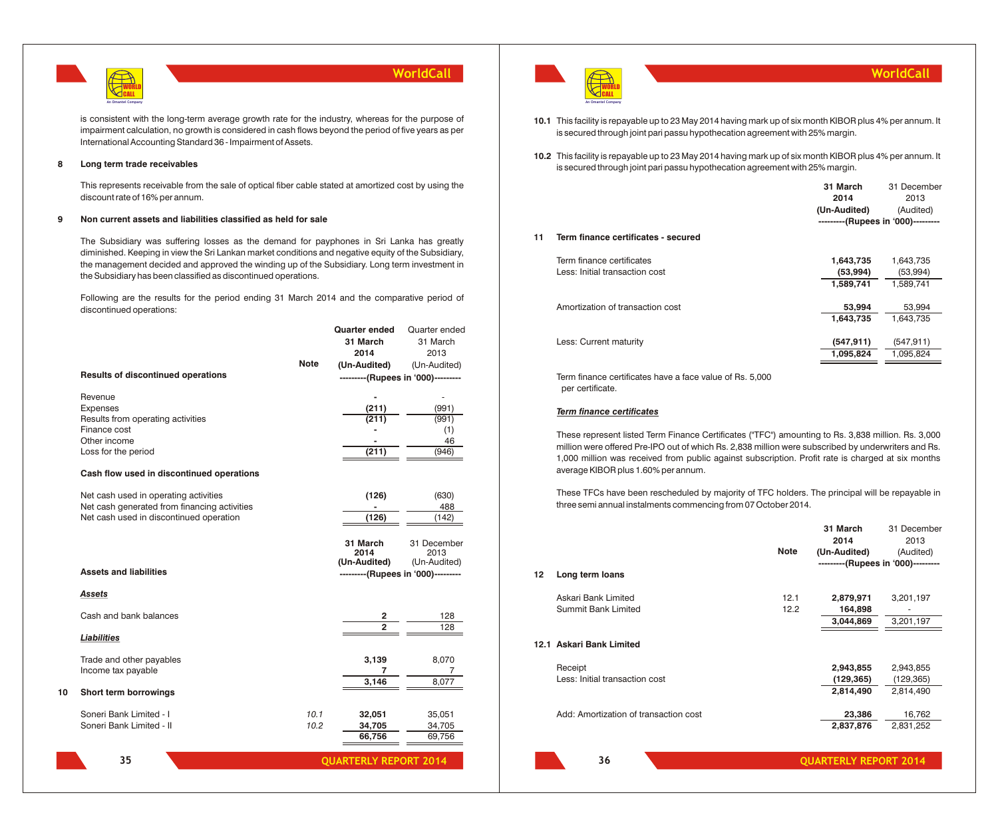

is consistent with the long-term average growth rate for the industry, whereas for the purpose of impairment calculation, no growth is considered in cash flows beyond the period of five years as per International Accounting Standard 36 - Impairment of Assets.

## **8 Long term trade receivables**

This represents receivable from the sale of optical fiber cable stated at amortized cost by using the discount rate of 16% per annum.

## **9 Non current assets and liabilities classified as held for sale**

The Subsidiary was suffering losses as the demand for payphones in Sri Lanka has greatly diminished. Keeping in view the Sri Lankan market conditions and negative equity of the Subsidiary, the management decided and approved the winding up of the Subsidiary. Long term investment in the Subsidiary has been classified as discontinued operations.

Following are the results for the period ending 31 March 2014 and the comparative period of discontinued operations:

|                                                      |             | <b>Quarter ended</b><br>31 March<br>2014 | Quarter ended<br>31 March<br>2013 |
|------------------------------------------------------|-------------|------------------------------------------|-----------------------------------|
| <b>Results of discontinued operations</b>            | <b>Note</b> | (Un-Audited)                             | (Un-Audited)                      |
|                                                      |             | ---------(Rupees in '000)---------       |                                   |
| Revenue                                              |             |                                          | ÷                                 |
| <b>Expenses</b><br>Results from operating activities |             | (211)<br>(211)                           | (991)<br>(991)                    |
| Finance cost                                         |             |                                          | (1)                               |
| Other income                                         |             |                                          | 46                                |
| Loss for the period                                  |             | (211)                                    | (946)                             |
| Cash flow used in discontinued operations            |             |                                          |                                   |
| Net cash used in operating activities                |             | (126)                                    | (630)                             |
| Net cash generated from financing activities         |             |                                          | 488                               |
| Net cash used in discontinued operation              |             | (126)                                    | (142)                             |
|                                                      |             | 31 March                                 | 31 December                       |
|                                                      |             | 2014<br>(Un-Audited)                     | 2013<br>(Un-Audited)              |
| <b>Assets and liabilities</b>                        |             | ---------(Rupees in '000)---------       |                                   |
| Assets                                               |             |                                          |                                   |
| Cash and bank balances                               |             | 2                                        | 128                               |
| <b>Liabilities</b>                                   |             | $\overline{2}$                           | 128                               |
| Trade and other payables                             |             | 3,139                                    | 8,070                             |
| Income tax payable                                   |             | 7                                        | 7                                 |
|                                                      |             | 3,146                                    | 8,077                             |
| Short term borrowings                                |             |                                          |                                   |
| Soneri Bank Limited - I                              | 10.1        | 32,051                                   | 35,051                            |
| Soneri Bank Limited - II                             | 10.2        | 34,705                                   | 34,705                            |
|                                                      |             | 66,756                                   | 69,756                            |
| 35                                                   |             | <b>QUARTERLY REPORT 2014</b>             |                                   |



**10.1** This facility is repayable up to 23 May 2014 having mark up of six month KIBOR plus 4% per annum. It is secured through joint pari passu hypothecation agreement with 25% margin.

**10.2** This facility is repayable up to 23 May 2014 having mark up of six month KIBOR plus 4% per annum. It is secured through joint pari passu hypothecation agreement with 25% margin.

|    |                                     | 31 March                           | 31 December |
|----|-------------------------------------|------------------------------------|-------------|
|    |                                     | 2014                               | 2013        |
|    |                                     | (Un-Audited)                       | (Audited)   |
|    |                                     | ---------(Rupees in '000)--------- |             |
| 11 | Term finance certificates - secured |                                    |             |
|    | Term finance certificates           | 1,643,735                          | 1,643,735   |
|    | Less: Initial transaction cost      | (53, 994)                          | (53,994)    |
|    |                                     | 1,589,741                          | 1,589,741   |
|    | Amortization of transaction cost    | 53,994                             | 53,994      |
|    |                                     | 1,643,735                          | 1,643,735   |
|    | Less: Current maturity              | (547, 911)                         | (547, 911)  |
|    |                                     | 1,095,824                          | 1,095,824   |
|    |                                     |                                    |             |

Term finance certificates have a face value of Rs. 5,000 per certificate.

## *Term finance certificates*

These represent listed Term Finance Certificates ("TFC") amounting to Rs. 3,838 million. Rs. 3,000 million were offered Pre-IPO out of which Rs. 2,838 million were subscribed by underwriters and Rs. 1,000 million was received from public against subscription. Profit rate is charged at six months average KIBOR plus 1.60% per annum.

These TFCs have been rescheduled by majority of TFC holders. The principal will be repayable in three semi annual instalments commencing from 07 October 2014.

|    |                                       |             | 31 March                           | 31 December |
|----|---------------------------------------|-------------|------------------------------------|-------------|
|    |                                       |             | 2014                               | 2013        |
|    |                                       | <b>Note</b> | (Un-Audited)                       | (Audited)   |
|    |                                       |             | ---------(Rupees in '000)--------- |             |
| 12 | Long term loans                       |             |                                    |             |
|    | Askari Bank Limited                   | 12.1        | 2,879,971                          | 3,201,197   |
|    | Summit Bank Limited                   | 12.2        | 164,898                            |             |
|    |                                       |             | 3,044,869                          | 3,201,197   |
|    | 12.1 Askari Bank Limited              |             |                                    |             |
|    | Receipt                               |             | 2,943,855                          | 2,943,855   |
|    | Less: Initial transaction cost        |             | (129, 365)                         | (129, 365)  |
|    |                                       |             | 2,814,490                          | 2,814,490   |
|    | Add: Amortization of transaction cost |             | 23,386                             | 16,762      |
|    |                                       |             | 2,837,876                          | 2,831,252   |
|    | 36                                    |             | <b>QUARTERLY REPORT 2014</b>       |             |

**WorldCall**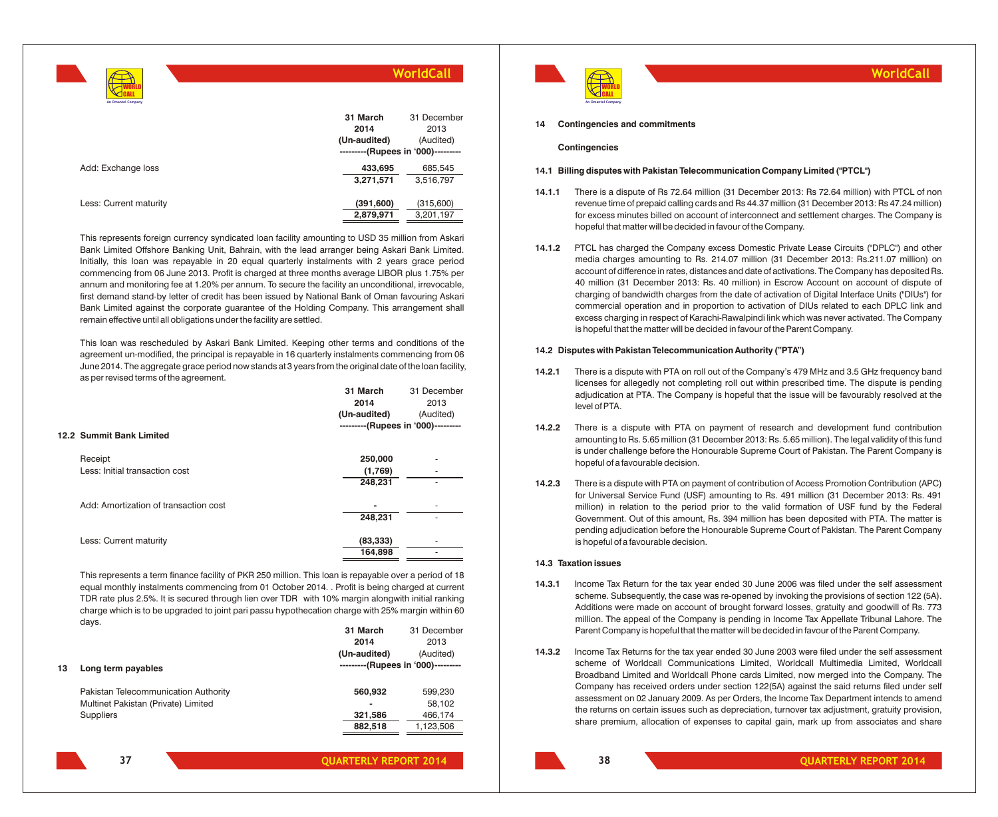| An Omantel Company     | WorldCall                                                              |                                  |  |
|------------------------|------------------------------------------------------------------------|----------------------------------|--|
|                        | 31 March<br>2014<br>(Un-audited)<br>---------(Rupees in '000)--------- | 31 December<br>2013<br>(Audited) |  |
| Add: Exchange loss     | 433,695<br>3,271,571                                                   | 685,545<br>3,516,797             |  |
| Less: Current maturity | (391, 600)<br>2,879,971                                                | (315,600)<br>3,201,197           |  |

This represents foreign currency syndicated loan facility amounting to USD 35 million from Askari Bank Limited Offshore Banking Unit, Bahrain, with the lead arranger being Askari Bank Limited. Initially, this loan was repayable in 20 equal quarterly instalments with 2 years grace period commencing from 06 June 2013. Profit is charged at three months average LIBOR plus 1.75% per annum and monitoring fee at 1.20% per annum. To secure the facility an unconditional, irrevocable, first demand stand-by letter of credit has been issued by National Bank of Oman favouring Askari Bank Limited against the corporate guarantee of the Holding Company. This arrangement shall remain effective until all obligations under the facility are settled.

This loan was rescheduled by Askari Bank Limited. Keeping other terms and conditions of the agreement un-modified, the principal is repayable in 16 quarterly instalments commencing from 06 June 2014. The aggregate grace period now stands at 3 years from the original date of the loan facility, as per revised terms of the agreement.

|                                       | 31 March                           | 31 December |
|---------------------------------------|------------------------------------|-------------|
|                                       | 2014                               | 2013        |
|                                       | (Un-audited)                       | (Audited)   |
|                                       | ---------(Rupees in '000)--------- |             |
| 12.2 Summit Bank Limited              |                                    |             |
| Receipt                               | 250,000                            |             |
| Less: Initial transaction cost        | (1,769)                            | ٠           |
|                                       | 248,231                            | ٠           |
| Add: Amortization of transaction cost | $\overline{\phantom{a}}$           | ٠           |
|                                       | 248,231                            | ۰           |
| Less: Current maturity                | (83, 333)                          |             |
|                                       | 164,898                            |             |
|                                       |                                    |             |

This represents a term finance facility of PKR 250 million. This loan is repayable over a period of 18 equal monthly instalments commencing from 01 October 2014. . Profit is being charged at current TDR rate plus 2.5%. It is secured through lien over TDR with 10% margin alongwith initial ranking charge which is to be upgraded to joint pari passu hypothecation charge with 25% margin within 60 days. **31 March** 31 December

|    |                                      | JI MANJI                           | u Lucucinuci |
|----|--------------------------------------|------------------------------------|--------------|
|    |                                      | 2014                               | 2013         |
|    |                                      | (Un-audited)                       | (Audited)    |
| 13 | Long term payables                   | ---------(Rupees in '000)--------- |              |
|    | Pakistan Telecommunication Authority | 560,932                            | 599,230      |
|    | Multinet Pakistan (Private) Limited  |                                    | 58,102       |
|    | <b>Suppliers</b>                     | 321.586                            | 466.174      |
|    |                                      | 882,518                            | 1,123,506    |
|    |                                      |                                    |              |
|    |                                      |                                    |              |

**37**



**WorldCall**

#### **14 Contingencies and commitments**

#### **Contingencies**

#### **14.1 Billing disputes with Pakistan Telecommunication Company Limited ("PTCL")**

- **14.1.1** There is a dispute of Rs 72.64 million (31 December 2013: Rs 72.64 million) with PTCL of non revenue time of prepaid calling cards and Rs 44.37 million (31 December 2013: Rs 47.24 million) for excess minutes billed on account of interconnect and settlement charges. The Company is hopeful that matter will be decided in favour of the Company.
- **14.1.2** PTCL has charged the Company excess Domestic Private Lease Circuits ("DPLC") and other media charges amounting to Rs. 214.07 million (31 December 2013: Rs.211.07 million) on account of difference in rates, distances and date of activations. The Company has deposited Rs. 40 million (31 December 2013: Rs. 40 million) in Escrow Account on account of dispute of charging of bandwidth charges from the date of activation of Digital Interface Units ("DIUs") for commercial operation and in proportion to activation of DIUs related to each DPLC link and excess charging in respect of Karachi-Rawalpindi link which was never activated. The Company is hopeful that the matter will be decided in favour of the Parent Company.

#### **14.2 Disputes with Pakistan Telecommunication Authority ("PTA")**

- **14.2.1** There is a dispute with PTA on roll out of the Company's 479 MHz and 3.5 GHz frequency band licenses for allegedly not completing roll out within prescribed time. The dispute is pending adjudication at PTA. The Company is hopeful that the issue will be favourably resolved at the level of PTA.
- **14.2.2** There is a dispute with PTA on payment of research and development fund contribution amounting to Rs. 5.65 million (31 December 2013: Rs. 5.65 million). The legal validity of this fund is under challenge before the Honourable Supreme Court of Pakistan. The Parent Company is hopeful of a favourable decision.
- **14.2.3** There is a dispute with PTA on payment of contribution of Access Promotion Contribution (APC) for Universal Service Fund (USF) amounting to Rs. 491 million (31 December 2013: Rs. 491 million) in relation to the period prior to the valid formation of USF fund by the Federal Government. Out of this amount, Rs. 394 million has been deposited with PTA. The matter is pending adjudication before the Honourable Supreme Court of Pakistan. The Parent Company is hopeful of a favourable decision.

#### **14.3 Taxation issues**

- **14.3.1** Income Tax Return for the tax year ended 30 June 2006 was filed under the self assessment scheme. Subsequently, the case was re-opened by invoking the provisions of section 122 (5A). Additions were made on account of brought forward losses, gratuity and goodwill of Rs. 773 million. The appeal of the Company is pending in Income Tax Appellate Tribunal Lahore. The Parent Company is hopeful that the matter will be decided in favour of the Parent Company.
- **14.3.2** Income Tax Returns for the tax year ended 30 June 2003 were filed under the self assessment scheme of Worldcall Communications Limited, Worldcall Multimedia Limited, Worldcall Broadband Limited and Worldcall Phone cards Limited, now merged into the Company. The Company has received orders under section 122(5A) against the said returns filed under self assessment on 02 January 2009. As per Orders, the Income Tax Department intends to amend the returns on certain issues such as depreciation, turnover tax adjustment, gratuity provision, share premium, allocation of expenses to capital gain, mark up from associates and share

**31 March**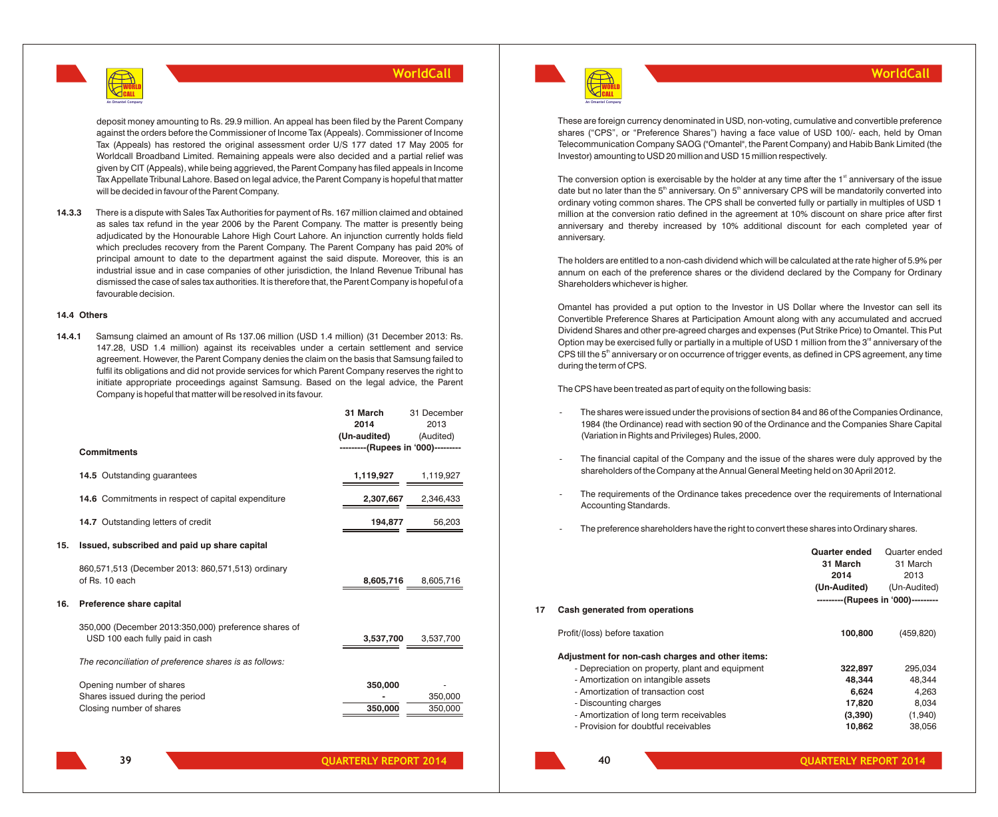

deposit money amounting to Rs. 29.9 million. An appeal has been filed by the Parent Company against the orders before the Commissioner of Income Tax (Appeals). Commissioner of Income Tax (Appeals) has restored the original assessment order U/S 177 dated 17 May 2005 for Worldcall Broadband Limited. Remaining appeals were also decided and a partial relief was given by CIT (Appeals), while being aggrieved, the Parent Company has filed appeals in Income Tax Appellate Tribunal Lahore. Based on legal advice, the Parent Company is hopeful that matter will be decided in favour of the Parent Company.

**14.3.3** There is a dispute with Sales Tax Authorities for payment of Rs. 167 million claimed and obtained as sales tax refund in the year 2006 by the Parent Company. The matter is presently being adjudicated by the Honourable Lahore High Court Lahore. An injunction currently holds field which precludes recovery from the Parent Company. The Parent Company has paid 20% of principal amount to date to the department against the said dispute. Moreover, this is an industrial issue and in case companies of other jurisdiction, the Inland Revenue Tribunal has dismissed the case of sales tax authorities. It is therefore that, the Parent Company is hopeful of a favourable decision.

#### **14.4 Others**

**14.4.1** Samsung claimed an amount of Rs 137.06 million (USD 1.4 million) (31 December 2013: Rs. 147.28, USD 1.4 million) against its receivables under a certain settlement and service agreement. However, the Parent Company denies the claim on the basis that Samsung failed to fulfil its obligations and did not provide services for which Parent Company reserves the right to initiate appropriate proceedings against Samsung. Based on the legal advice, the Parent Company is hopeful that matter will be resolved in its favour.

|     |                                                                                         | 31 March<br>2014<br>(Un-audited)<br>---------(Rupees in '000)--------- | 31 December<br>2013<br>(Audited) |
|-----|-----------------------------------------------------------------------------------------|------------------------------------------------------------------------|----------------------------------|
|     | <b>Commitments</b>                                                                      |                                                                        |                                  |
|     | 14.5 Outstanding guarantees                                                             | 1,119,927                                                              | 1,119,927                        |
|     | 14.6 Commitments in respect of capital expenditure                                      | 2,307,667                                                              | 2,346,433                        |
|     | 14.7 Outstanding letters of credit                                                      | 194,877                                                                | 56,203                           |
| 15. | Issued, subscribed and paid up share capital                                            |                                                                        |                                  |
|     | 860,571,513 (December 2013: 860,571,513) ordinary<br>of Rs. 10 each                     | 8,605,716                                                              | 8,605,716                        |
| 16. | Preference share capital                                                                |                                                                        |                                  |
|     | 350,000 (December 2013:350,000) preference shares of<br>USD 100 each fully paid in cash | 3,537,700                                                              | 3,537,700                        |
|     | The reconciliation of preference shares is as follows:                                  |                                                                        |                                  |
|     | Opening number of shares<br>Shares issued during the period<br>Closing number of shares | 350,000<br>350,000                                                     | 350,000<br>350,000               |
|     | 50                                                                                      | <b>OIIARTERIV REPORT 2014</b>                                          |                                  |



**40**

These are foreign currency denominated in USD, non-voting, cumulative and convertible preference shares ("CPS", or "Preference Shares") having a face value of USD 100/- each, held by Oman Telecommunication Company SAOG ("Omantel", the Parent Company) and Habib Bank Limited (the Investor) amounting to USD 20 million and USD 15 million respectively.

**WorldCall**

The conversion option is exercisable by the holder at any time after the  $1<sup>st</sup>$  anniversary of the issue date but no later than the  $5<sup>th</sup>$  anniversary. On  $5<sup>th</sup>$  anniversary CPS will be mandatorily converted into ordinary voting common shares. The CPS shall be converted fully or partially in multiples of USD 1 million at the conversion ratio defined in the agreement at 10% discount on share price after first anniversary and thereby increased by 10% additional discount for each completed year of anniversary.

The holders are entitled to a non-cash dividend which will be calculated at the rate higher of 5.9% per annum on each of the preference shares or the dividend declared by the Company for Ordinary Shareholders whichever is higher.

Omantel has provided a put option to the Investor in US Dollar where the Investor can sell its Convertible Preference Shares at Participation Amount along with any accumulated and accrued Dividend Shares and other pre-agreed charges and expenses (Put Strike Price) to Omantel. This Put Option may be exercised fully or partially in a multiple of USD 1 million from the 3<sup>rd</sup> anniversary of the CPS till the 5<sup>th</sup> anniversary or on occurrence of trigger events, as defined in CPS agreement, any time during the term of CPS.

The CPS have been treated as part of equity on the following basis:

- The shares were issued under the provisions of section 84 and 86 of the Companies Ordinance, 1984 (the Ordinance) read with section 90 of the Ordinance and the Companies Share Capital (Variation in Rights and Privileges) Rules, 2000.
- The financial capital of the Company and the issue of the shares were duly approved by the shareholders of the Company at the Annual General Meeting held on 30 April 2012.
- The requirements of the Ordinance takes precedence over the requirements of International Accounting Standards.
- The preference shareholders have the right to convert these shares into Ordinary shares.

|    |                                                  | <b>Quarter ended</b>               | Quarter ended |
|----|--------------------------------------------------|------------------------------------|---------------|
|    |                                                  | 31 March                           | 31 March      |
|    |                                                  | 2014                               | 2013          |
|    |                                                  | (Un-Audited)                       | (Un-Audited)  |
|    |                                                  | ---------(Rupees in '000)--------- |               |
| 17 | Cash generated from operations                   |                                    |               |
|    | Profit/(loss) before taxation                    | 100,800                            | (459, 820)    |
|    | Adjustment for non-cash charges and other items: |                                    |               |
|    | - Depreciation on property, plant and equipment  | 322,897                            | 295,034       |
|    | - Amortization on intangible assets              | 48.344                             | 48.344        |
|    | - Amortization of transaction cost               | 6,624                              | 4,263         |
|    | - Discounting charges                            | 17,820                             | 8,034         |
|    | - Amortization of long term receivables          | (3,390)                            | (1,940)       |
|    | - Provision for doubtful receivables             | 10,862                             | 38,056        |
|    |                                                  |                                    |               |

**QUARTERLY REPORT 2014 QUARTERLY REPORT 2014**